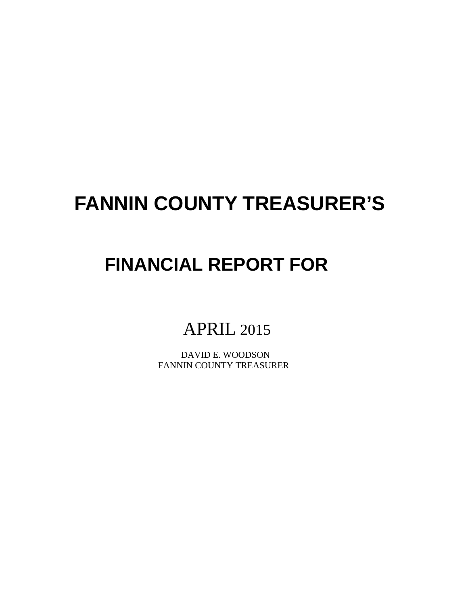# **FANNIN COUNTY TREASURER'S**

# **FINANCIAL REPORT FOR**

# APRIL 2015

 DAVID E. WOODSON FANNIN COUNTY TREASURER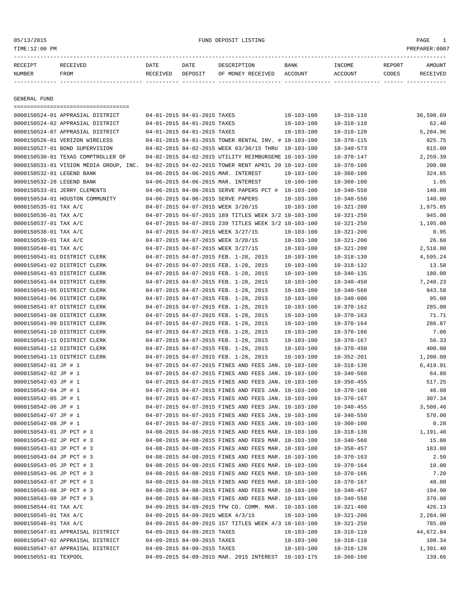# 05/13/2015 FUND DEPOSIT LISTING PAGE 1

| RECEIPT       | <b>RECEIVED</b> | DATE     | DATE    | DESCRIPTION       | <b>BANK</b> | TNCOME  | <b>REPORT</b> | AMOUNT |
|---------------|-----------------|----------|---------|-------------------|-------------|---------|---------------|--------|
| <b>NUMBER</b> | <b>FROM</b>     | RECEIVED | DEPOSIT | OF MONEY RECEIVED | ACCOUNT     | ACCOINT | CODES         |        |

------------- ------------------------- ---------- ---------- ------------------- -------------- -------------- ------ ------------

GENERAL FUND

| =====================================  |                                       |                                                      |                  |                  |           |
|----------------------------------------|---------------------------------------|------------------------------------------------------|------------------|------------------|-----------|
| 0000150524-01 APPRASIAL DISTRICT       | 04-01-2015 04-01-2015 TAXES           |                                                      | $10 - 103 - 100$ | $10 - 310 - 110$ | 36,598.69 |
| 0000150524-02 APPRASIAL DISTRICT       | 04-01-2015 04-01-2015 TAXES           |                                                      | 10-103-100       | $10 - 310 - 110$ | 62.40     |
| 0000150524-07 APPRASIAL DISTRICT       | 04-01-2015 04-01-2015 TAXES           |                                                      | $10 - 103 - 100$ | $10 - 310 - 120$ | 5,284.96  |
| 0000150526-01 VERIZON WIRELESS         |                                       | 04-01-2015 04-01-2015 TOWER RENTAL INV. # 10-103-100 |                  | $10 - 370 - 115$ | 925.75    |
| 0000150527-01 BOND SUPERVISION         |                                       | 04-02-2015 04-02-2015 WEEK 03/30/15 THRU 10-103-100  |                  | $10 - 340 - 573$ | 815.00    |
| 0000150530-01 TEXAS COMPTROLLER OF     |                                       | 04-02-2015 04-02-2015 UTILITY REIMBURSEME 10-103-100 |                  | $10 - 370 - 147$ | 2,259.39  |
| 0000150531-01 VISION MEDIA GROUP, INC. |                                       | 04-02-2015 04-02-2015 TOWER RENT APRIL 20 10-103-100 |                  | $10 - 370 - 100$ | 200.00    |
| 0000150532-01 LEGEND BANK              | 04-06-2015 04-06-2015 MAR. INTEREST   |                                                      | $10 - 103 - 100$ | $10 - 360 - 100$ | 324.85    |
| 0000150532-28 LEGEND BANK              | 04-06-2015 04-06-2015 MAR. INTEREST   |                                                      | $10 - 100 - 100$ | $10 - 360 - 100$ | 1.05      |
| 0000150533-01 JERRY CLEMENTS           |                                       | 04-06-2015 04-06-2015 SERVE PAPERS PCT # 10-103-100  |                  | $10 - 340 - 550$ | 140.00    |
| 0000150534-01 HOUSTON COMMUNITY        | 04-06-2015 04-06-2015 SERVE PAPERS    |                                                      | $10 - 103 - 100$ | $10 - 340 - 550$ | 140.00    |
| 0000150535-01 TAX A/C                  | 04-07-2015 04-07-2015 WEEK 3/20/15    |                                                      | $10 - 103 - 100$ | $10 - 321 - 200$ | 1,975.85  |
| 0000150536-01 TAX A/C                  |                                       | 04-07-2015 04-07-2015 189 TITLES WEEK 3/2 10-103-100 |                  | $10 - 321 - 250$ | 945.00    |
| 0000150537-01 TAX A/C                  |                                       | 04-07-2015 04-07-2015 239 TITLES WEEK 3/2 10-103-100 |                  | $10 - 321 - 250$ | 1,195.00  |
| 0000150538-01 TAX A/C                  | 04-07-2015 04-07-2015 WEEK 3/27/15    |                                                      | $10 - 103 - 100$ | $10 - 321 - 200$ | 0.95      |
| 0000150539-01 TAX A/C                  | 04-07-2015 04-07-2015 WEEK 3/20/15    |                                                      | $10 - 103 - 100$ | $10 - 321 - 200$ | 26.60     |
| 0000150540-01 TAX A/C                  | 04-07-2015 04-07-2015 WEEK 3/27/15    |                                                      | $10 - 103 - 100$ | $10 - 321 - 200$ | 2,510.80  |
| 0000150541-01 DISTRICT CLERK           | 04-07-2015 04-07-2015 FEB. 1-28, 2015 |                                                      | $10 - 103 - 100$ | $10 - 318 - 130$ | 4,595.24  |
| 0000150541-02 DISTRICT CLERK           | 04-07-2015 04-07-2015 FEB. 1-28, 2015 |                                                      | $10 - 103 - 100$ | $10 - 318 - 132$ | 13.58     |
| 0000150541-03 DISTRICT CLERK           | 04-07-2015 04-07-2015 FEB. 1-28, 2015 |                                                      | $10 - 103 - 100$ | $10 - 340 - 135$ | 180.00    |
| 0000150541-04 DISTRICT CLERK           | 04-07-2015 04-07-2015 FEB. 1-28, 2015 |                                                      | $10 - 103 - 100$ | $10 - 340 - 450$ | 7,240.23  |
| 0000150541-05 DISTRICT CLERK           | 04-07-2015 04-07-2015 FEB. 1-28, 2015 |                                                      | $10 - 103 - 100$ | $10 - 340 - 560$ | 943.58    |
| 0000150541-06 DISTRICT CLERK           | 04-07-2015 04-07-2015 FEB. 1-28, 2015 |                                                      | $10 - 103 - 100$ | $10 - 340 - 600$ | 95.00     |
| 0000150541-07 DISTRICT CLERK           | 04-07-2015 04-07-2015 FEB. 1-28, 2015 |                                                      | $10 - 103 - 100$ | $10 - 370 - 162$ | 285.00    |
| 0000150541-08 DISTRICT CLERK           | 04-07-2015 04-07-2015 FEB. 1-28, 2015 |                                                      | $10 - 103 - 100$ | $10 - 370 - 163$ | 71.71     |
| 0000150541-09 DISTRICT CLERK           | 04-07-2015 04-07-2015 FEB. 1-28, 2015 |                                                      | $10 - 103 - 100$ | $10 - 370 - 164$ | 286.87    |
| 0000150541-10 DISTRICT CLERK           | 04-07-2015 04-07-2015 FEB. 1-28, 2015 |                                                      | $10 - 103 - 100$ | $10 - 370 - 166$ | 7.06      |
| 0000150541-11 DISTRICT CLERK           | 04-07-2015 04-07-2015 FEB. 1-28, 2015 |                                                      | $10 - 103 - 100$ | $10 - 370 - 167$ | 56.33     |
| 0000150541-12 DISTRICT CLERK           | 04-07-2015 04-07-2015 FEB. 1-28, 2015 |                                                      | $10 - 103 - 100$ | $10 - 370 - 450$ | 400.00    |
| 0000150541-13 DISTRICT CLERK           | 04-07-2015 04-07-2015 FEB. 1-28, 2015 |                                                      | 10-103-100       | $10 - 352 - 201$ | 1,200.00  |
| 0000150542-01 JP # 1                   |                                       | 04-07-2015 04-07-2015 FINES AND FEES JAN. 10-103-100 |                  | $10 - 318 - 130$ | 6,419.91  |
| 0000150542-02 JP # 1                   |                                       | 04-07-2015 04-07-2015 FINES AND FEES JAN. 10-103-100 |                  | $10 - 340 - 560$ | 64.88     |
| 0000150542-03 JP # 1                   |                                       | 04-07-2015 04-07-2015 FINES AND FEES JAN. 10-103-100 |                  | $10 - 350 - 455$ | 517.25    |
| 0000150542-04 JP # 1                   |                                       | 04-07-2015 04-07-2015 FINES AND FEES JAN. 10-103-100 |                  | $10 - 370 - 166$ | 46.08     |
| 0000150542-05 JP # 1                   |                                       | 04-07-2015 04-07-2015 FINES AND FEES JAN. 10-103-100 |                  | $10 - 370 - 167$ | 307.34    |
| 0000150542-06 JP # 1                   |                                       | 04-07-2015 04-07-2015 FINES AND FEES JAN. 10-103-100 |                  | $10 - 340 - 455$ | 3,508.46  |
| 0000150542-07 JP # 1                   |                                       | 04-07-2015 04-07-2015 FINES AND FEES JAN. 10-103-100 |                  | $10 - 340 - 550$ | 570.00    |
| 0000150542-08 JP # 1                   |                                       | 04-07-2015 04-07-2015 FINES AND FEES JAN. 10-103-100 |                  | $10 - 360 - 100$ | 0.28      |
| 0000150543-01 JP PCT # 3               |                                       | 04-08-2015 04-08-2015 FINES AND FEES MAR. 10-103-100 |                  | $10 - 318 - 130$ | 1,191.40  |
| 0000150543-02 JP PCT # 3               |                                       | 04-08-2015 04-08-2015 FINES AND FEES MAR. 10-103-100 |                  | $10 - 340 - 560$ | 15.00     |
| 0000150543-03 JP PCT # 3               |                                       | 04-08-2015 04-08-2015 FINES AND FEES MAR. 10-103-100 |                  | $10 - 350 - 457$ | 183.00    |
| 0000150543-04 JP PCT # 3               |                                       | 04-08-2015 04-08-2015 FINES AND FEES MAR. 10-103-100 |                  | $10 - 370 - 163$ | 2.50      |
| 0000150543-05 JP PCT # 3               |                                       | 04-08-2015 04-08-2015 FINES AND FEES MAR. 10-103-100 |                  | $10 - 370 - 164$ | 10.00     |
| 0000150543-06 JP PCT # 3               |                                       | 04-08-2015 04-08-2015 FINES AND FEES MAR. 10-103-100 |                  | $10 - 370 - 166$ | 7.20      |
| 0000150543-07 JP PCT # 3               |                                       | 04-08-2015 04-08-2015 FINES AND FEES MAR. 10-103-100 |                  | $10 - 370 - 167$ | 48.00     |
| 0000150543-08 JP PCT # 3               |                                       | 04-08-2015 04-08-2015 FINES AND FEES MAR. 10-103-100 |                  | $10 - 340 - 457$ | 194.90    |
| 0000150543-09 JP PCT # 3               |                                       | 04-08-2015 04-08-2015 FINES AND FEES MAR. 10-103-100 |                  | $10 - 340 - 550$ | 370.00    |
| 0000150544-01 TAX A/C                  |                                       | 04-09-2015 04-09-2015 TPW CO. COMM. MAR. 10-103-100  |                  | $10 - 321 - 400$ | 426.13    |
| 0000150545-01 TAX A/C                  | 04-09-2015 04-09-2015 WEEK 4/3/15     |                                                      | $10 - 103 - 100$ | $10 - 321 - 200$ | 2,284.90  |
| 0000150546-01 TAX A/C                  |                                       | 04-09-2015 04-09-2015 157 TITLES WEEK 4/3 10-103-100 |                  | $10 - 321 - 250$ | 785.00    |
| 0000150547-01 APPRAISAL DISTRICT       | 04-09-2015 04-09-2015 TAXES           |                                                      | $10 - 103 - 100$ | $10 - 310 - 110$ | 44,672.84 |
| 0000150547-02 APPRAISAL DISTRICT       | 04-09-2015 04-09-2015 TAXES           |                                                      | 10-103-100       | $10 - 310 - 110$ | 108.34    |
| 0000150547-07 APPRAISAL DISTRICT       |                                       |                                                      |                  |                  | 1,391.40  |
|                                        | 04-09-2015 04-09-2015 TAXES           |                                                      | $10 - 103 - 100$ | $10 - 310 - 120$ | 139.66    |
| 0000150551-01 TEXPOOL                  |                                       | 04-09-2015 04-09-2015 MAR. 2015 INTEREST 10-103-175  |                  | $10 - 360 - 100$ |           |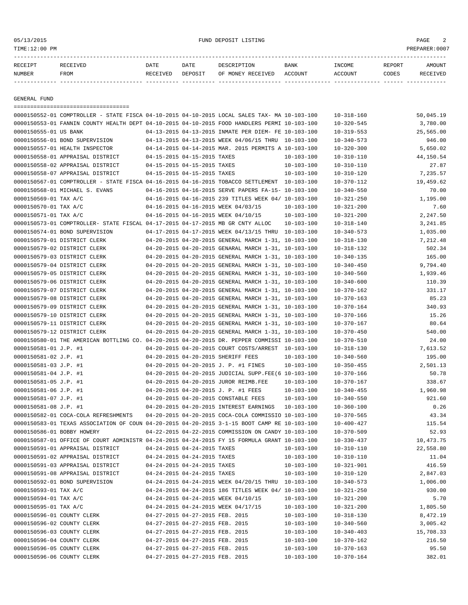05/13/2015 FUND DEPOSIT LISTING PAGE 2

| RECEIPT | <b>RECEIVED</b> | DATE            | DATE    | DESCRIPTION       | <b>BANK</b> | <b>INCOME</b> | REPORT | AMOUNT          |
|---------|-----------------|-----------------|---------|-------------------|-------------|---------------|--------|-----------------|
| NUMBER  | FROM            | <b>RECEIVED</b> | DEPOSIT | OF MONEY RECEIVED | ACCOUNT     | ACCOUNT       | CODES  | <b>RECEIVED</b> |
|         |                 |                 |         |                   |             |               |        |                 |

GENERAL FUND

|                            | =====================================                                                        |                             |                                 |                                                      |                  |                  |                 |
|----------------------------|----------------------------------------------------------------------------------------------|-----------------------------|---------------------------------|------------------------------------------------------|------------------|------------------|-----------------|
|                            | 0000150552-01 COMPTROLLER - STATE FISCA 04-10-2015 04-10-2015 LOCAL SALES TAX- MA 10-103-100 |                             |                                 |                                                      |                  | $10 - 318 - 160$ | 50,045.19       |
|                            | 0000150553-01 FANNIN COUNTY HEALTH DEPT 04-10-2015 04-10-2015 FOOD HANDLERS PERMI 10-103-100 |                             |                                 |                                                      |                  | $10 - 320 - 545$ | 3,780.00        |
| 0000150555-01 US BANK      |                                                                                              |                             |                                 | 04-13-2015 04-13-2015 INMATE PER DIEM- FE 10-103-100 |                  | $10 - 319 - 553$ | 25,565.00       |
|                            | 0000150556-01 BOND SUPERVISION                                                               |                             |                                 | 04-13-2015 04-13-2015 WEEK 04/06/15 THRU 10-103-100  |                  | $10 - 340 - 573$ | 946.00          |
|                            | 0000150557-01 HEALTH INSPECTOR                                                               |                             |                                 | 04-14-2015 04-14-2015 MAR. 2015 PERMITS A 10-103-100 |                  | $10 - 320 - 300$ | 5,650.02        |
|                            | 0000150558-01 APPRAISAL DISTRICT                                                             |                             | 04-15-2015 04-15-2015 TAXES     |                                                      | $10 - 103 - 100$ | $10 - 310 - 110$ | 44,150.54       |
|                            | 0000150558-02 APPRAISAL DISTRICT                                                             | 04-15-2015 04-15-2015 TAXES |                                 |                                                      | 10-103-100       | $10 - 310 - 110$ | 27.87           |
|                            | 0000150558-07 APPRAISAL DISTRICT                                                             |                             | 04-15-2015 04-15-2015 TAXES     |                                                      | 10-103-100       | $10 - 310 - 120$ | 7,235.57        |
|                            | 0000150567-01 COMPTROLLER - STATE FISCA 04-16-2015 04-16-2015 TOBACCO SETTLEMENT 10-103-100  |                             |                                 |                                                      |                  | $10 - 370 - 112$ | 19,459.62       |
|                            | 0000150568-01 MICHAEL S. EVANS                                                               |                             |                                 | 04-16-2015 04-16-2015 SERVE PAPERS FA-15- 10-103-100 |                  | $10 - 340 - 550$ | 70.00           |
| 0000150569-01 TAX A/C      |                                                                                              |                             |                                 | 04-16-2015 04-16-2015 239 TITLES WEEK 04/ 10-103-100 |                  | $10 - 321 - 250$ | 1,195.00        |
| 0000150570-01 TAX A/C      |                                                                                              |                             |                                 | 04-16-2015 04-16-2015 WEEK 04/03/15                  | $10 - 103 - 100$ | $10 - 321 - 200$ | 7.60            |
| 0000150571-01 TAX A/C      |                                                                                              |                             |                                 | 04-16-2015 04-16-2015 WEEK 04/10/15                  | 10-103-100       | $10 - 321 - 200$ | 2,247.50        |
|                            | 0000150573-01 COMPTROLLER- STATE FISCAL 04-17-2015 04-17-2015 MB GR CNTY ALLOC               |                             |                                 |                                                      | $10 - 103 - 100$ | $10 - 318 - 140$ | 3,241.85        |
|                            | 0000150574-01 BOND SUPERVISION                                                               |                             |                                 | 04-17-2015 04-17-2015 WEEK 04/13/15 THRU 10-103-100  |                  | $10 - 340 - 573$ | 1,035.00        |
|                            | 0000150579-01 DISTRICT CLERK                                                                 |                             |                                 | 04-20-2015 04-20-2015 GENERAL MARCH 1-31, 10-103-100 |                  | $10 - 318 - 130$ | 7,212.48        |
|                            | 0000150579-02 DISTRICT CLERK                                                                 |                             |                                 | 04-20-2015 04-20-2015 GENARAL MARCH 1-31, 10-103-100 |                  | $10 - 318 - 132$ | 502.34          |
|                            | 0000150579-03 DISTRICT CLERK                                                                 |                             |                                 | 04-20-2015 04-20-2015 GENERAL MARCH 1-31, 10-103-100 |                  | $10 - 340 - 135$ | 165.00          |
|                            | 0000150579-04 DISTRICT CLERK                                                                 |                             |                                 | 04-20-2015 04-20-2015 GENERAL MARCH 1-31, 10-103-100 |                  | $10 - 340 - 450$ | 9,794.40        |
|                            | 0000150579-05 DISTRICT CLERK                                                                 |                             |                                 | 04-20-2015 04-20-2015 GENERAL MARCH 1-31, 10-103-100 |                  | $10 - 340 - 560$ | 1,939.46        |
|                            | 0000150579-06 DISTRICT CLERK                                                                 |                             |                                 | 04-20-2015 04-20-2015 GENERAL MARCH 1-31, 10-103-100 |                  | $10 - 340 - 600$ | 110.39          |
|                            | 0000150579-07 DISTRICT CLERK                                                                 |                             |                                 | 04-20-2015 04-20-2015 GENERAL MARCH 1-31, 10-103-100 |                  | $10 - 370 - 162$ | 331.17          |
|                            | 0000150579-08 DISTRICT CLERK                                                                 |                             |                                 | 04-20-2015 04-20-2015 GENERAL MARCH 1-31, 10-103-100 |                  | $10 - 370 - 163$ | 85.23           |
|                            | 0000150579-09 DISTRICT CLERK                                                                 |                             |                                 | 04-20-2015 04-20-2015 GENERAL MARCH 1-31, 10-103-100 |                  | $10 - 370 - 164$ | 340.93          |
|                            | 0000150579-10 DISTRICT CLERK                                                                 |                             |                                 | 04-20-2015 04-20-2015 GENERAL MARCH 1-31, 10-103-100 |                  | $10 - 370 - 166$ | 15.26           |
|                            | 0000150579-11 DISTRICT CLERK                                                                 |                             |                                 | 04-20-2015 04-20-2015 GENERAL MARCH 1-31, 10-103-100 |                  | $10 - 370 - 167$ | 80.64           |
|                            | 0000150579-12 DISTRICT CLERK                                                                 |                             |                                 | 04-20-2015 04-20-2015 GENERAL MARCH 1-31, 10-103-100 |                  | $10 - 370 - 450$ | 540.00          |
|                            | 0000150580-01 THE AMERICAN BOTTLING CO. 04-20-2015 04-20-2015 DR. PEPPER COMMISSI 10-103-100 |                             |                                 |                                                      |                  | $10 - 370 - 510$ | 24.00           |
| 0000150581-01 J.P. #1      |                                                                                              |                             |                                 | 04-20-2015 04-20-2015 COURT COSTS/ARREST 10-103-100  |                  | $10 - 318 - 130$ | 7,613.52        |
| 0000150581-02 J.P. #1      |                                                                                              |                             |                                 | 04-20-2015 04-20-2015 SHERIFF FEES                   | $10 - 103 - 100$ | $10 - 340 - 560$ | 195.00          |
| 0000150581-03 J.P. #1      |                                                                                              |                             |                                 | 04-20-2015 04-20-2015 J. P. #1 FINES                 | $10 - 103 - 100$ | $10 - 350 - 455$ | 2,501.13        |
| 0000150581-04 J.P. #1      |                                                                                              |                             |                                 | 04-20-2015 04-20-2015 JUDICIAL SUPP.FEE(6 10-103-100 |                  | $10 - 370 - 166$ | 50.78           |
| 0000150581-05 J.P. #1      |                                                                                              |                             |                                 | 04-20-2015 04-20-2015 JUROR REIMB.FEE                | $10 - 103 - 100$ | $10 - 370 - 167$ | 338.67          |
| 0000150581-06 J.P. #1      |                                                                                              |                             |                                 | 04-20-2015 04-20-2015 J. P. #1 FEES                  | $10 - 103 - 100$ | $10 - 340 - 455$ | 1,960.98        |
| 0000150581-07 J.P. #1      |                                                                                              |                             |                                 | 04-20-2015 04-20-2015 CONSTABLE FEES                 | 10-103-100       | $10 - 340 - 550$ | 921.60          |
| 0000150581-08 J.P. #1      |                                                                                              |                             |                                 | 04-20-2015 04-20-2015 INTEREST EARNINGS              | $10 - 103 - 100$ | $10 - 360 - 100$ | 0.26            |
|                            | 0000150582-01 COCA-COLA REFRESHMENTS                                                         |                             |                                 | 04-20-2015 04-20-2015 COCA-COLA COMMISSIO 10-103-100 |                  | $10 - 370 - 565$ | 43.34           |
|                            | 0000150583-01 TEXAS ASSOCIATION OF COUN 04-20-2015 04-20-2015 3-1-15 BOOT CAMP RE 10-103-100 |                             |                                 |                                                      |                  | $10 - 400 - 427$ | 115.54          |
| 0000150586-01 BOBBY HOWERY |                                                                                              |                             |                                 | 04-22-2015 04-22-2015 COMMISSION ON CANDY 10-103-100 |                  | $10 - 370 - 509$ | 52.93           |
|                            | 0000150587-01 OFFICE OF COURT ADMINISTR 04-24-2015 04-24-2015 FY 15 FORMULA GRANT 10-103-100 |                             |                                 |                                                      |                  | $10 - 330 - 437$ | 10,473.75       |
|                            | 0000150591-01 APPRAISAL DISTRICT                                                             | 04-24-2015 04-24-2015 TAXES |                                 |                                                      | $10 - 103 - 100$ | $10 - 310 - 110$ | 22,558.80       |
|                            | 0000150591-02 APPRAISAL DISTRICT                                                             |                             | 04-24-2015 04-24-2015 TAXES     |                                                      |                  |                  |                 |
|                            |                                                                                              |                             |                                 |                                                      | $10 - 103 - 100$ | $10 - 310 - 110$ | 11.04<br>416.59 |
|                            | 0000150591-03 APPRAISAL DISTRICT                                                             |                             | 04-24-2015 04-24-2015 TAXES     |                                                      | $10 - 103 - 100$ | $10 - 321 - 901$ |                 |
|                            | 0000150591-08 APPRAISAL DISTRICT                                                             |                             | 04-24-2015 04-24-2015 TAXES     |                                                      | $10 - 103 - 100$ | $10 - 310 - 120$ | 2,847.03        |
|                            | 0000150592-01 BOND SUPERVISION                                                               |                             |                                 | 04-24-2015 04-24-2015 WEEK 04/20/15 THRU 10-103-100  |                  | $10 - 340 - 573$ | 1,006.00        |
| 0000150593-01 TAX A/C      |                                                                                              |                             |                                 | 04-24-2015 04-24-2015 186 TITLES WEEK 04/ 10-103-100 |                  | $10 - 321 - 250$ | 930.00          |
| 0000150594-01 TAX A/C      |                                                                                              |                             |                                 | 04-24-2015 04-24-2015 WEEK 04/10/15                  | $10 - 103 - 100$ | $10 - 321 - 200$ | 5.70            |
| 0000150595-01 TAX A/C      |                                                                                              |                             |                                 | 04-24-2015 04-24-2015 WEEK 04/17/15                  | $10 - 103 - 100$ | $10 - 321 - 200$ | 1,805.50        |
| 0000150596-01 COUNTY CLERK |                                                                                              |                             | 04-27-2015 04-27-2015 FEB. 2015 |                                                      | $10 - 103 - 100$ | $10 - 318 - 130$ | 8,472.19        |
| 0000150596-02 COUNTY CLERK |                                                                                              |                             | 04-27-2015 04-27-2015 FEB. 2015 |                                                      | $10 - 103 - 100$ | $10 - 340 - 560$ | 3,005.42        |
| 0000150596-03 COUNTY CLERK |                                                                                              |                             | 04-27-2015 04-27-2015 FEB. 2015 |                                                      | $10 - 103 - 100$ | $10 - 340 - 403$ | 15,708.33       |
| 0000150596-04 COUNTY CLERK |                                                                                              |                             | 04-27-2015 04-27-2015 FEB. 2015 |                                                      | $10 - 103 - 100$ | $10 - 370 - 162$ | 216.50          |
| 0000150596-05 COUNTY CLERK |                                                                                              |                             | 04-27-2015 04-27-2015 FEB. 2015 |                                                      | $10 - 103 - 100$ | $10 - 370 - 163$ | 95.50           |
| 0000150596-06 COUNTY CLERK |                                                                                              |                             | 04-27-2015 04-27-2015 FEB. 2015 |                                                      | $10 - 103 - 100$ | $10 - 370 - 164$ | 382.01          |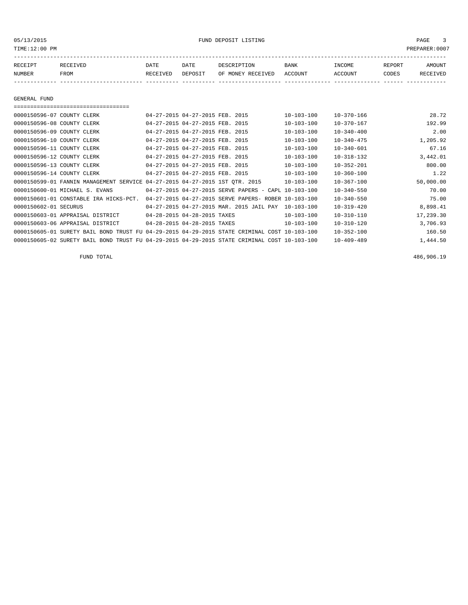05/13/2015 FUND DEPOSIT LISTING PAGE 3

| RECEIPT | RECEIVED | DATE     | DATE    | DESCRIPTION       | <b>BANK</b> | INCOME  | REPORT | AMOUNT   |
|---------|----------|----------|---------|-------------------|-------------|---------|--------|----------|
| NUMBER  | FROM     | RECEIVED | DEPOSIT | OF MONEY RECEIVED | ACCOUNT     | ACCOUNT | CODES  | RECEIVED |
|         |          |          |         |                   |             |         |        |          |

GENERAL FUND

|                            | ===================================                                                          |                                 |                                                      |                  |                  |           |
|----------------------------|----------------------------------------------------------------------------------------------|---------------------------------|------------------------------------------------------|------------------|------------------|-----------|
| 0000150596-07 COUNTY CLERK |                                                                                              | 04-27-2015 04-27-2015 FEB. 2015 |                                                      | $10 - 103 - 100$ | $10 - 370 - 166$ | 28.72     |
| 0000150596-08 COUNTY CLERK |                                                                                              | 04-27-2015 04-27-2015 FEB. 2015 |                                                      | $10 - 103 - 100$ | $10 - 370 - 167$ | 192.99    |
| 0000150596-09 COUNTY CLERK |                                                                                              | 04-27-2015 04-27-2015 FEB. 2015 |                                                      | $10 - 103 - 100$ | $10 - 340 - 400$ | 2.00      |
| 0000150596-10 COUNTY CLERK |                                                                                              | 04-27-2015 04-27-2015 FEB. 2015 |                                                      | $10 - 103 - 100$ | $10 - 340 - 475$ | 1,205.92  |
| 0000150596-11 COUNTY CLERK |                                                                                              | 04-27-2015 04-27-2015 FEB. 2015 |                                                      | $10 - 103 - 100$ | $10 - 340 - 601$ | 67.16     |
| 0000150596-12 COUNTY CLERK |                                                                                              | 04-27-2015 04-27-2015 FEB. 2015 |                                                      | $10 - 103 - 100$ | $10 - 318 - 132$ | 3,442.01  |
| 0000150596-13 COUNTY CLERK |                                                                                              | 04-27-2015 04-27-2015 FEB. 2015 |                                                      | $10 - 103 - 100$ | $10 - 352 - 201$ | 800.00    |
| 0000150596-14 COUNTY CLERK |                                                                                              | 04-27-2015 04-27-2015 FEB. 2015 |                                                      | $10 - 103 - 100$ | $10 - 360 - 100$ | 1.22      |
|                            | 0000150599-01 FANNIN MANAGEMENT SERVICE 04-27-2015 04-27-2015 1ST OTR. 2015                  |                                 |                                                      | $10 - 103 - 100$ | $10 - 367 - 100$ | 50,000.00 |
|                            | 0000150600-01 MICHAEL S. EVANS                                                               |                                 | 04-27-2015 04-27-2015 SERVE PAPERS - CAPL 10-103-100 |                  | $10 - 340 - 550$ | 70.00     |
|                            | 0000150601-01 CONSTABLE IRA HICKS-PCT.                                                       |                                 | 04-27-2015 04-27-2015 SERVE PAPERS- ROBER 10-103-100 |                  | $10 - 340 - 550$ | 75.00     |
| 0000150602-01 SECURUS      |                                                                                              |                                 | 04-27-2015 04-27-2015 MAR. 2015 JAIL PAY             | $10 - 103 - 100$ | $10 - 319 - 420$ | 8,898.41  |
|                            | 0000150603-01 APPRAISAL DISTRICT                                                             | 04-28-2015 04-28-2015 TAXES     |                                                      | $10 - 103 - 100$ | $10 - 310 - 110$ | 17,239.30 |
|                            | 0000150603-06 APPRAISAL DISTRICT                                                             | 04-28-2015 04-28-2015 TAXES     |                                                      | $10 - 103 - 100$ | $10 - 310 - 120$ | 3,706.93  |
|                            | 0000150605-01 SURETY BAIL BOND TRUST FU 04-29-2015 04-29-2015 STATE CRIMINAL COST 10-103-100 |                                 |                                                      |                  | $10 - 352 - 100$ | 160.50    |
|                            | 0000150605-02 SURETY BAIL BOND TRUST FU 04-29-2015 04-29-2015 STATE CRIMINAL COST 10-103-100 |                                 |                                                      |                  | $10 - 409 - 489$ | 1,444.50  |

FUND TOTAL 486,906.19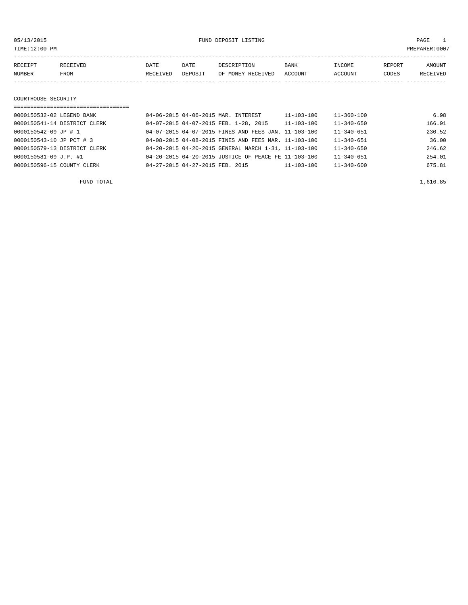05/13/2015 FUND DEPOSIT LISTING PAGE 1

| RECEIPT | RECEIVED | <b>DATE</b> | DATE    | DESCRIPTION       | <b>BANK</b> | INCOME  | REPORT | <b>AMOUNT</b> |
|---------|----------|-------------|---------|-------------------|-------------|---------|--------|---------------|
| NUMBER  | FROM     | RECEIVED    | DEPOSIT | OF MONEY RECEIVED | ACCOUNT     | ACCOUNT | CODES  | RECEIVED      |
|         |          |             |         |                   |             |         |        |               |
|         |          |             |         |                   |             |         |        |               |

## COURTHOUSE SECURITY

| ================================== |                                                      |            |                  |        |
|------------------------------------|------------------------------------------------------|------------|------------------|--------|
| 0000150532-02 LEGEND BANK          | 04-06-2015 04-06-2015 MAR. INTEREST                  | 11-103-100 | $11 - 360 - 100$ | 6.98   |
| 0000150541-14 DISTRICT CLERK       | 04-07-2015 04-07-2015 FEB. 1-28, 2015                | 11-103-100 | $11 - 340 - 650$ | 166.91 |
| 0000150542-09 JP # 1               | 04-07-2015 04-07-2015 FINES AND FEES JAN. 11-103-100 |            | $11 - 340 - 651$ | 230.52 |
| 0000150543-10 JP PCT # 3           | 04-08-2015 04-08-2015 FINES AND FEES MAR. 11-103-100 |            | $11 - 340 - 651$ | 36.00  |
| 0000150579-13 DISTRICT CLERK       | 04-20-2015 04-20-2015 GENERAL MARCH 1-31, 11-103-100 |            | $11 - 340 - 650$ | 246.62 |
| 0000150581-09 J.P. #1              | 04-20-2015 04-20-2015 JUSTICE OF PEACE FE 11-103-100 |            | $11 - 340 - 651$ | 254.01 |
| 0000150596-15 COUNTY CLERK         | 04-27-2015 04-27-2015 FEB. 2015                      | 11-103-100 | $11 - 340 - 600$ | 675.81 |

FUND TOTAL  $1,616.85$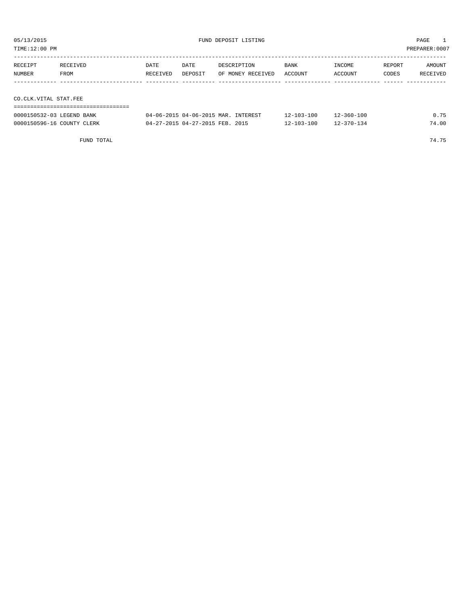TIME:12:00 PM PREPARER:0007

| RECEIPT               | RECEIVED | DATE     | DATE    | DESCRIPTION       | <b>BANK</b> | INCOME  | REPORT | AMOUNT   |  |  |
|-----------------------|----------|----------|---------|-------------------|-------------|---------|--------|----------|--|--|
| NUMBER                | FROM     | RECEIVED | DEPOSIT | OF MONEY RECEIVED | ACCOUNT     | ACCOUNT | CODES  | RECEIVED |  |  |
|                       |          |          |         |                   |             |         |        |          |  |  |
|                       |          |          |         |                   |             |         |        |          |  |  |
| CO.CLK.VITAL STAT.FEE |          |          |         |                   |             |         |        |          |  |  |
|                       |          |          |         |                   |             |         |        |          |  |  |

| 0000150532-03 LEGEND BANK  | 04-06-2015 04-06-2015 MAR. INTEREST | $12 - 103 - 100$ | $12 - 360 - 100$ |       |
|----------------------------|-------------------------------------|------------------|------------------|-------|
| 0000150596-16 COUNTY CLERK | 04-27-2015 04-27-2015 FEB. 2015     | $12 - 103 - 100$ | $12 - 370 - 134$ | 74.00 |

FUND TOTAL 74.75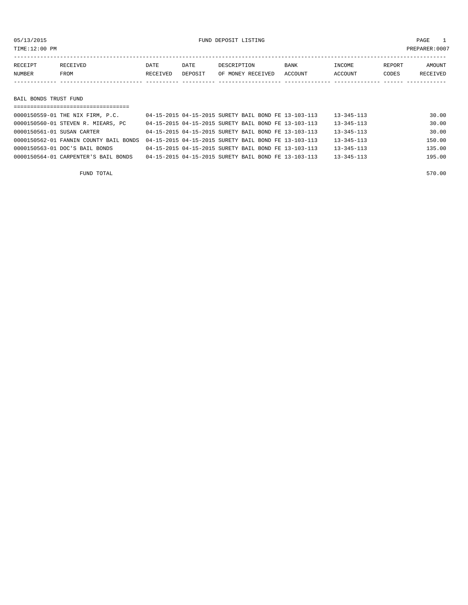TIME:12:00 PM PREPARER:0007

| RECEIPT       | RECEIVED | DATE     | DATE    | DESCRIPTION       | <b>BANK</b> | INCOME  | REPORT | <b>AMOUNT</b>   |
|---------------|----------|----------|---------|-------------------|-------------|---------|--------|-----------------|
| <b>NUMBER</b> | FROM     | RECEIVED | DEPOSIT | OF MONEY RECEIVED | ACCOUNT     | ACCOUNT | CODES  | <b>RECEIVED</b> |
|               |          |          |         |                   |             |         |        |                 |

BAIL BONDS TRUST FUND

|                            | ====================================                                                        |                                                      |  |  |  |                  |        |
|----------------------------|---------------------------------------------------------------------------------------------|------------------------------------------------------|--|--|--|------------------|--------|
|                            | 0000150559-01 THE NIX FIRM, P.C.                                                            | 04-15-2015 04-15-2015 SURETY BAIL BOND FE 13-103-113 |  |  |  | $13 - 345 - 113$ | 30.00  |
|                            | 0000150560-01 STEVEN R. MIEARS, PC                                                          | 04-15-2015 04-15-2015 SURETY BAIL BOND FE 13-103-113 |  |  |  | $13 - 345 - 113$ | 30.00  |
| 0000150561-01 SUSAN CARTER |                                                                                             | 04-15-2015 04-15-2015 SURETY BAIL BOND FE 13-103-113 |  |  |  | $13 - 345 - 113$ | 30.00  |
|                            | 0000150562-01 FANNIN COUNTY BAIL BONDS 04-15-2015 04-15-2015 SURETY BAIL BOND FE 13-103-113 |                                                      |  |  |  | $13 - 345 - 113$ | 150.00 |
|                            | 0000150563-01 DOC'S BAIL BONDS                                                              | 04-15-2015 04-15-2015 SURETY BAIL BOND FE 13-103-113 |  |  |  | $13 - 345 - 113$ | 135.00 |
|                            | 0000150564-01 CARPENTER'S BAIL BONDS                                                        | 04-15-2015 04-15-2015 SURETY BAIL BOND FE 13-103-113 |  |  |  | 13-345-113       | 195.00 |
|                            |                                                                                             |                                                      |  |  |  |                  |        |

FUND TOTAL 570.00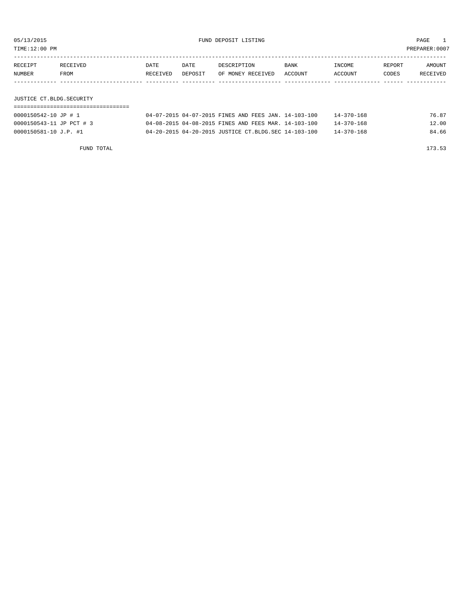05/13/2015 FUND DEPOSIT LISTING PAGE 1 TIME:12:00 PM PREPARER:0007

----------------------------------------------------------------------------------------------------------------------------------- RECEIPT RECEIVED DATE DATE DESCRIPTION BANK INCOME REPORT AMOUNT NUMBER FROM RECEIVED DEPOSIT OF MONEY RECEIVED ACCOUNT ACCOUNT CODES RECEIVED ------------- ------------------------- ---------- ---------- ------------------- -------------- -------------- ------ ------------

JUSTICE CT.BLDG.SECURITY

| 0000150542-10 JP # 1     | 04-07-2015 04-07-2015 FINES AND FEES JAN. 14-103-100 |  |  | 14-370-168 | 76.87 |
|--------------------------|------------------------------------------------------|--|--|------------|-------|
| 0000150543-11 JP PCT # 3 | 04-08-2015 04-08-2015 FINES AND FEES MAR. 14-103-100 |  |  | 14-370-168 | 12.00 |
| 0000150581-10 J.P. #1    | 04-20-2015 04-20-2015 JUSTICE CT.BLDG.SEC 14-103-100 |  |  | 14-370-168 | 84.66 |
|                          |                                                      |  |  |            |       |

FUND TOTAL 173.53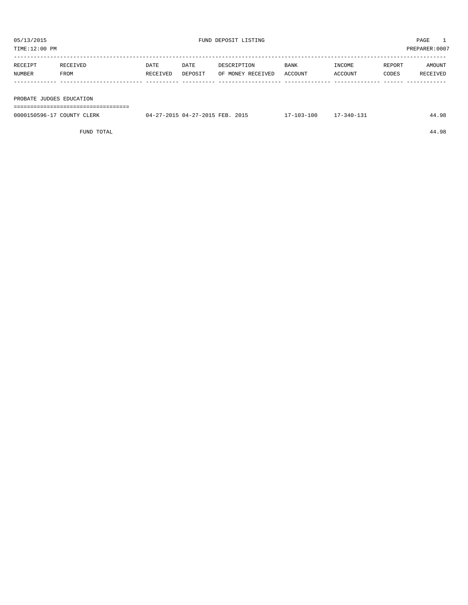| TIME:12:00 PM |                          |          |         |                   |         |         |        | PREPARER:0007 |
|---------------|--------------------------|----------|---------|-------------------|---------|---------|--------|---------------|
|               |                          |          |         |                   |         |         |        |               |
| RECEIPT       | RECEIVED                 | DATE     | DATE    | DESCRIPTION       | BANK    | INCOME  | REPORT | AMOUNT        |
| NUMBER        | FROM                     | RECEIVED | DEPOSIT | OF MONEY RECEIVED | ACCOUNT | ACCOUNT | CODES  | RECEIVED      |
|               |                          |          |         |                   |         |         |        |               |
|               |                          |          |         |                   |         |         |        |               |
|               | PROBATE JUDGES EDUCATION |          |         |                   |         |         |        |               |
|               |                          |          |         |                   |         |         |        |               |

| 0000150596-17 COUNTY CLERK | 04-27-2015 04-27-2015 FEB. 2015 | 17-103-100 17-340-131 |  | 44.98 |
|----------------------------|---------------------------------|-----------------------|--|-------|
|                            |                                 |                       |  |       |

FUND TOTAL 44.98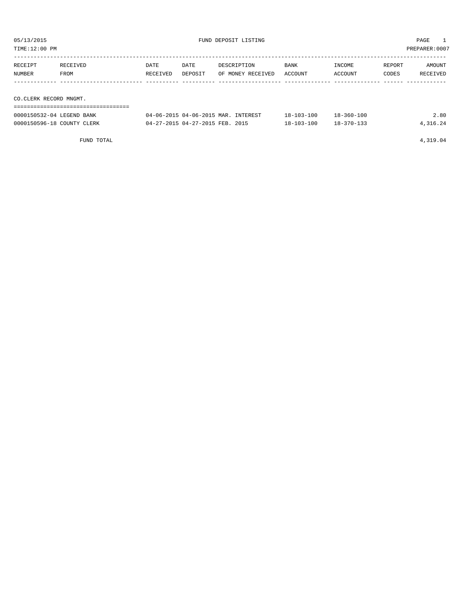| TIME:12:00 PM               |          |          |         |                                                                                                                                                                                                                                |             |            |        | PREPARER:0007 |
|-----------------------------|----------|----------|---------|--------------------------------------------------------------------------------------------------------------------------------------------------------------------------------------------------------------------------------|-------------|------------|--------|---------------|
| RECEIPT                     | RECEIVED | DATE     | DATE    | DESCRIPTION                                                                                                                                                                                                                    | <b>BANK</b> | INCOME     | REPORT | AMOUNT        |
| NUMBER<br>FROM              |          | RECEIVED | DEPOSIT | OF MONEY RECEIVED                                                                                                                                                                                                              | ACCOUNT     | ACCOUNT    | CODES  | RECEIVED      |
|                             |          |          |         |                                                                                                                                                                                                                                |             |            |        |               |
|                             |          |          |         |                                                                                                                                                                                                                                |             |            |        |               |
| CO.CLERK RECORD MNGMT.      |          |          |         |                                                                                                                                                                                                                                |             |            |        |               |
| COOCILCESS OF ABUSINE PAINT |          |          |         | $0.4$ $0.6$ $0.015$ $0.4$ $0.6$ $0.015$ $10.5$ $0.75$ $10.75$ $0.75$ $0.75$ $0.75$ $0.75$ $0.75$ $0.75$ $0.75$ $0.75$ $0.75$ $0.75$ $0.75$ $0.75$ $0.75$ $0.75$ $0.75$ $0.75$ $0.75$ $0.75$ $0.75$ $0.75$ $0.75$ $0.75$ $0.75$ | 10 100 100  | 10.250.100 |        | 0.00          |

| 0000150532-04 LEGEND BANK  | 04-06-2015 04-06-2015 MAR. INTEREST | 18-103-100 | 18-360-100       | 2.80     |
|----------------------------|-------------------------------------|------------|------------------|----------|
| 0000150596-18 COUNTY CLERK | 04-27-2015 04-27-2015 FEB. 2015     | 18-103-100 | $18 - 370 - 133$ | 4,316.24 |
|                            |                                     |            |                  |          |

FUND TOTAL 4,319.04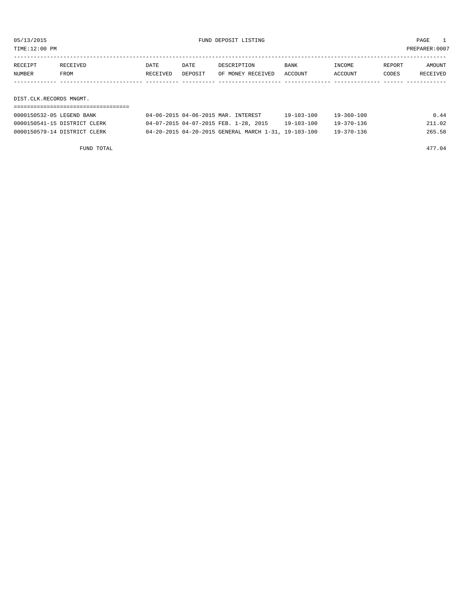TIME:12:00 PM PREPARER:0007

| RECEIPT | RECEIVED | DATE     | DATE    | DESCRIPTION       | <b>BANK</b> | INCOME         | REPORT | AMOUNT   |
|---------|----------|----------|---------|-------------------|-------------|----------------|--------|----------|
| NUMBER  | FROM     | RECEIVED | DEPOSIT | OF MONEY RECEIVED | ACCOUNT     | <b>ACCOUNT</b> | CODES  | RECEIVED |
|         |          |          |         |                   |             |                |        |          |
|         |          |          |         |                   |             |                |        |          |

DIST.CLK.RECORDS MNGMT.

| 0000150532-05 LEGEND BANK    | 04-06-2015 04-06-2015 MAR. INTEREST                  | $19 - 103 - 100$ | $19 - 360 - 100$ | 0.44   |
|------------------------------|------------------------------------------------------|------------------|------------------|--------|
| 0000150541-15 DISTRICT CLERK | 04-07-2015 04-07-2015 FEB. 1-28, 2015                | 19-103-100       | 19-370-136       | 211.02 |
| 0000150579-14 DISTRICT CLERK | 04-20-2015 04-20-2015 GENERAL MARCH 1-31, 19-103-100 |                  | 19-370-136       | 265.58 |

FUND TOTAL 477.04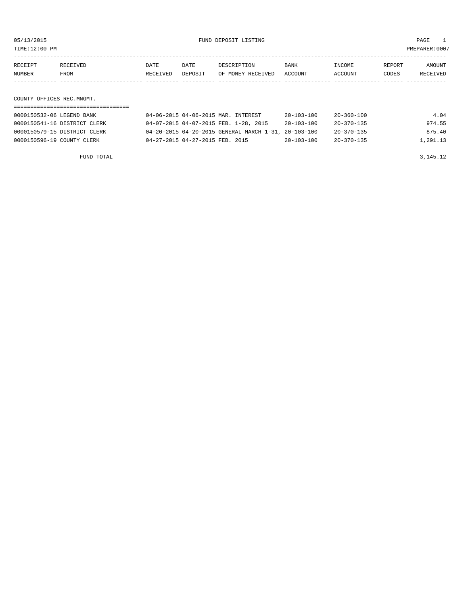TIME:12:00 PM PREPARER:0007

| RECEIPT | <b>RECEIVED</b> | DATE     | DATE    | DESCRIPTION       | <b>BANK</b>    | INCOME  | REPORT | AMOUNT          |
|---------|-----------------|----------|---------|-------------------|----------------|---------|--------|-----------------|
| NUMBER  | FROM            | RECEIVED | DEPOSIT | OF MONEY RECEIVED | <b>ACCOUNT</b> | ACCOUNT | CODES  | <b>RECEIVED</b> |
|         |                 |          |         |                   |                |         |        |                 |

COUNTY OFFICES REC.MNGMT.

| 0000150532-06 LEGEND BANK    | 04-06-2015 04-06-2015 MAR. INTEREST                  | $20 - 103 - 100$ | 20-360-100       | 4.04     |
|------------------------------|------------------------------------------------------|------------------|------------------|----------|
| 0000150541-16 DISTRICT CLERK | 04-07-2015 04-07-2015 FEB. 1-28, 2015                | $20 - 103 - 100$ | 20-370-135       | 974.55   |
| 0000150579-15 DISTRICT CLERK | 04-20-2015 04-20-2015 GENERAL MARCH 1-31, 20-103-100 |                  | $20 - 370 - 135$ | 875.40   |
| 0000150596-19 COUNTY CLERK   | 04-27-2015 04-27-2015 FEB. 2015                      | $20 - 103 - 100$ | $20 - 370 - 135$ | 1,291.13 |

FUND TOTAL  $3,145.12$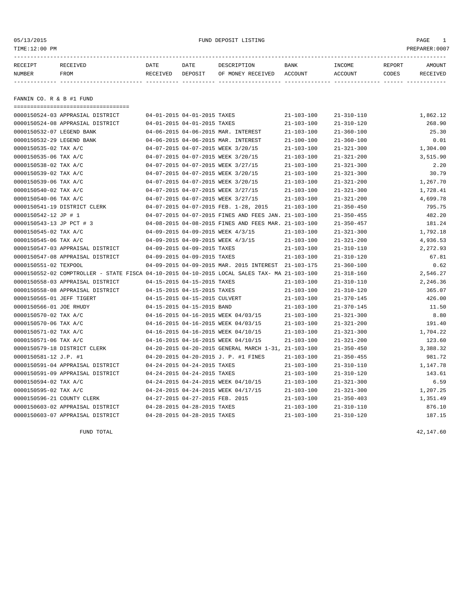# 05/13/2015 FUND DEPOSIT LISTING PAGE 1

| RECEIPT                  | RECEIVED | DATE     | DATE    | DESCRIPTION       | BANK    | INCOME  | REPORT | AMOUNT   |
|--------------------------|----------|----------|---------|-------------------|---------|---------|--------|----------|
| NUMBER                   | FROM     | RECEIVED | DEPOSIT | OF MONEY RECEIVED | ACCOUNT | ACCOUNT | CODES  | RECEIVED |
|                          |          |          |         |                   |         |         |        |          |
|                          |          |          |         |                   |         |         |        |          |
| FANNIN CO. R & B #1 FUND |          |          |         |                   |         |         |        |          |

| =====================================                                                        |                                 |                                                      |                  |                  |          |
|----------------------------------------------------------------------------------------------|---------------------------------|------------------------------------------------------|------------------|------------------|----------|
| 0000150524-03 APPRASIAL DISTRICT                                                             | 04-01-2015 04-01-2015 TAXES     |                                                      | $21 - 103 - 100$ | $21 - 310 - 110$ | 1,862.12 |
| 0000150524-08 APPRASIAL DISTRICT                                                             | 04-01-2015 04-01-2015 TAXES     |                                                      | $21 - 103 - 100$ | $21 - 310 - 120$ | 268.90   |
| 0000150532-07 LEGEND BANK                                                                    |                                 | 04-06-2015 04-06-2015 MAR. INTEREST                  | $21 - 103 - 100$ | $21 - 360 - 100$ | 25.30    |
| 0000150532-29 LEGEND BANK                                                                    |                                 | 04-06-2015 04-06-2015 MAR. INTEREST                  | $21 - 100 - 100$ | $21 - 360 - 100$ | 0.01     |
| 0000150535-02 TAX A/C                                                                        |                                 | 04-07-2015 04-07-2015 WEEK 3/20/15                   | $21 - 103 - 100$ | $21 - 321 - 300$ | 1,304.00 |
| 0000150535-06 TAX A/C                                                                        |                                 | 04-07-2015 04-07-2015 WEEK 3/20/15                   | $21 - 103 - 100$ | $21 - 321 - 200$ | 3,515.90 |
| 0000150538-02 TAX A/C                                                                        |                                 | 04-07-2015 04-07-2015 WEEK 3/27/15                   | $21 - 103 - 100$ | $21 - 321 - 300$ | 2.20     |
| 0000150539-02 TAX A/C                                                                        |                                 | 04-07-2015 04-07-2015 WEEK 3/20/15                   | $21 - 103 - 100$ | $21 - 321 - 300$ | 30.79    |
| 0000150539-06 TAX A/C                                                                        |                                 | 04-07-2015 04-07-2015 WEEK 3/20/15                   | $21 - 103 - 100$ | $21 - 321 - 200$ | 1,267.70 |
| 0000150540-02 TAX A/C                                                                        |                                 | 04-07-2015 04-07-2015 WEEK 3/27/15                   | $21 - 103 - 100$ | $21 - 321 - 300$ | 1,728.41 |
| 0000150540-06 TAX A/C                                                                        |                                 | 04-07-2015 04-07-2015 WEEK 3/27/15                   | $21 - 103 - 100$ | $21 - 321 - 200$ | 4,699.78 |
| 0000150541-19 DISTRICT CLERK                                                                 |                                 | 04-07-2015 04-07-2015 FEB. 1-28, 2015                | $21 - 103 - 100$ | $21 - 350 - 450$ | 795.75   |
| 0000150542-12 JP # 1                                                                         |                                 | 04-07-2015 04-07-2015 FINES AND FEES JAN. 21-103-100 |                  | $21 - 350 - 455$ | 482.20   |
| 0000150543-13 JP PCT # 3                                                                     |                                 | 04-08-2015 04-08-2015 FINES AND FEES MAR. 21-103-100 |                  | $21 - 350 - 457$ | 181.24   |
| 0000150545-02 TAX A/C                                                                        |                                 | 04-09-2015 04-09-2015 WEEK 4/3/15                    | $21 - 103 - 100$ | $21 - 321 - 300$ | 1,792.18 |
| 0000150545-06 TAX A/C                                                                        |                                 | 04-09-2015 04-09-2015 WEEK 4/3/15                    | $21 - 103 - 100$ | $21 - 321 - 200$ | 4,936.53 |
| 0000150547-03 APPRAISAL DISTRICT                                                             | 04-09-2015 04-09-2015 TAXES     |                                                      | 21-103-100       | $21 - 310 - 110$ | 2,272.93 |
| 0000150547-08 APPRAISAL DISTRICT                                                             | 04-09-2015 04-09-2015 TAXES     |                                                      | $21 - 103 - 100$ | $21 - 310 - 120$ | 67.81    |
| 0000150551-02 TEXPOOL                                                                        |                                 | 04-09-2015 04-09-2015 MAR. 2015 INTEREST             | 21-103-175       | $21 - 360 - 100$ | 0.62     |
| 0000150552-02 COMPTROLLER - STATE FISCA 04-10-2015 04-10-2015 LOCAL SALES TAX- MA 21-103-100 |                                 |                                                      |                  | $21 - 318 - 160$ | 2,546.27 |
| 0000150558-03 APPRAISAL DISTRICT                                                             | 04-15-2015 04-15-2015 TAXES     |                                                      | $21 - 103 - 100$ | $21 - 310 - 110$ | 2,246.36 |
| 0000150558-08 APPRAISAL DISTRICT                                                             | 04-15-2015 04-15-2015 TAXES     |                                                      | $21 - 103 - 100$ | $21 - 310 - 120$ | 365.07   |
| 0000150565-01 JEFF TIGERT                                                                    | 04-15-2015 04-15-2015 CULVERT   |                                                      | $21 - 103 - 100$ | $21 - 370 - 145$ | 426.00   |
| 0000150566-01 JOE RHUDY                                                                      | 04-15-2015 04-15-2015 BAND      |                                                      | $21 - 103 - 100$ | $21 - 370 - 145$ | 11.50    |
| 0000150570-02 TAX A/C                                                                        |                                 | 04-16-2015 04-16-2015 WEEK 04/03/15                  | $21 - 103 - 100$ | $21 - 321 - 300$ | 8.80     |
| 0000150570-06 TAX A/C                                                                        |                                 | 04-16-2015 04-16-2015 WEEK 04/03/15                  | $21 - 103 - 100$ | $21 - 321 - 200$ | 191.40   |
| 0000150571-02 TAX A/C                                                                        |                                 | 04-16-2015 04-16-2015 WEEK 04/10/15                  | $21 - 103 - 100$ | $21 - 321 - 300$ | 1,704.22 |
| 0000150571-06 TAX A/C                                                                        |                                 | 04-16-2015 04-16-2015 WEEK 04/10/15                  | $21 - 103 - 100$ | $21 - 321 - 200$ | 123.60   |
| 0000150579-18 DISTRICT CLERK                                                                 |                                 | 04-20-2015 04-20-2015 GENERAL MARCH 1-31, 21-103-100 |                  | $21 - 350 - 450$ | 3,388.32 |
| 0000150581-12 J.P. #1                                                                        |                                 | 04-20-2015 04-20-2015 J. P. #1 FINES                 | $21 - 103 - 100$ | $21 - 350 - 455$ | 981.72   |
| 0000150591-04 APPRAISAL DISTRICT                                                             | 04-24-2015 04-24-2015 TAXES     |                                                      | $21 - 103 - 100$ | $21 - 310 - 110$ | 1,147.78 |
| 0000150591-09 APPRAISAL DISTRICT                                                             | 04-24-2015 04-24-2015 TAXES     |                                                      | $21 - 103 - 100$ | $21 - 310 - 120$ | 143.61   |
| 0000150594-02 TAX A/C                                                                        |                                 | 04-24-2015 04-24-2015 WEEK 04/10/15                  | $21 - 103 - 100$ | $21 - 321 - 300$ | 6.59     |
| 0000150595-02 TAX A/C                                                                        |                                 | 04-24-2015 04-24-2015 WEEK 04/17/15                  | $21 - 103 - 100$ | $21 - 321 - 300$ | 1,207.25 |
| 0000150596-21 COUNTY CLERK                                                                   | 04-27-2015 04-27-2015 FEB. 2015 |                                                      | $21 - 103 - 100$ | $21 - 350 - 403$ | 1,351.49 |
| 0000150603-02 APPRAISAL DISTRICT                                                             | 04-28-2015 04-28-2015 TAXES     |                                                      | $21 - 103 - 100$ | $21 - 310 - 110$ | 876.10   |
| 0000150603-07 APPRAISAL DISTRICT                                                             | 04-28-2015 04-28-2015 TAXES     |                                                      | $21 - 103 - 100$ | $21 - 310 - 120$ | 187.15   |
|                                                                                              |                                 |                                                      |                  |                  |          |

FUND TOTAL  $42,147.60$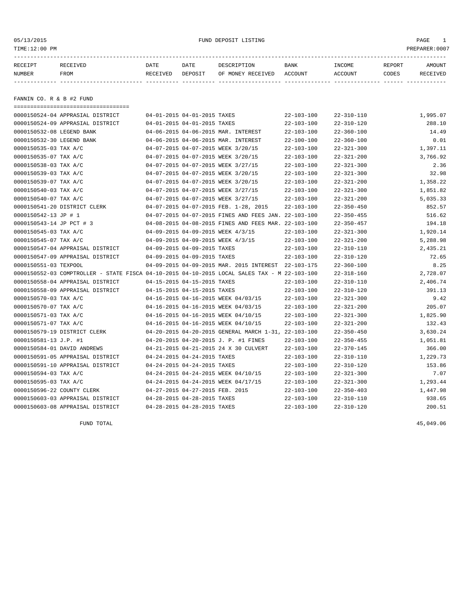# 05/13/2015 FUND DEPOSIT LISTING PAGE 1

| RECEIPT | RECEIVED | DATE     | DATE    | DESCRIPTION               | BANK | INCOME  | REPORT | <b>AMOUNT</b> |
|---------|----------|----------|---------|---------------------------|------|---------|--------|---------------|
| NUMBER  | FROM     | RECEIVED | DEPOSIT | OF MONEY RECEIVED ACCOUNT |      | ACCOUNT | CODES  | RECEIVED      |
|         |          |          |         |                           |      |         |        |               |
|         |          |          |         |                           |      |         |        |               |

FANNIN CO. R & B #2 FUND

|                             | ======================================                                                       |                                 |                                                      |                  |                  |          |
|-----------------------------|----------------------------------------------------------------------------------------------|---------------------------------|------------------------------------------------------|------------------|------------------|----------|
|                             | 0000150524-04 APPRASIAL DISTRICT                                                             | 04-01-2015 04-01-2015 TAXES     |                                                      | $22 - 103 - 100$ | $22 - 310 - 110$ | 1,995.07 |
|                             | 0000150524-09 APPRASIAL DISTRICT                                                             | 04-01-2015 04-01-2015 TAXES     |                                                      | $22 - 103 - 100$ | $22 - 310 - 120$ | 288.10   |
| 0000150532-08 LEGEND BANK   |                                                                                              |                                 | 04-06-2015 04-06-2015 MAR. INTEREST                  | $22 - 103 - 100$ | $22 - 360 - 100$ | 14.49    |
| 0000150532-30 LEGEND BANK   |                                                                                              |                                 | 04-06-2015 04-06-2015 MAR. INTEREST                  | $22 - 100 - 100$ | $22 - 360 - 100$ | 0.01     |
| 0000150535-03 TAX A/C       |                                                                                              |                                 | 04-07-2015 04-07-2015 WEEK 3/20/15                   | $22 - 103 - 100$ | $22 - 321 - 300$ | 1,397.11 |
| 0000150535-07 TAX A/C       |                                                                                              |                                 | 04-07-2015 04-07-2015 WEEK 3/20/15                   | $22 - 103 - 100$ | $22 - 321 - 200$ | 3,766.92 |
| 0000150538-03 TAX A/C       |                                                                                              |                                 | 04-07-2015 04-07-2015 WEEK 3/27/15                   | $22 - 103 - 100$ | $22 - 321 - 300$ | 2.36     |
| 0000150539-03 TAX A/C       |                                                                                              |                                 | 04-07-2015 04-07-2015 WEEK 3/20/15                   | $22 - 103 - 100$ | $22 - 321 - 300$ | 32.98    |
| 0000150539-07 TAX A/C       |                                                                                              |                                 | 04-07-2015 04-07-2015 WEEK 3/20/15                   | $22 - 103 - 100$ | $22 - 321 - 200$ | 1,358.22 |
| 0000150540-03 TAX A/C       |                                                                                              |                                 | 04-07-2015 04-07-2015 WEEK 3/27/15                   | $22 - 103 - 100$ | $22 - 321 - 300$ | 1,851.82 |
| 0000150540-07 TAX A/C       |                                                                                              |                                 | 04-07-2015 04-07-2015 WEEK 3/27/15                   | $22 - 103 - 100$ | $22 - 321 - 200$ | 5,035.33 |
|                             | 0000150541-20 DISTRICT CLERK                                                                 |                                 | 04-07-2015 04-07-2015 FEB. 1-28, 2015                | $22 - 103 - 100$ | $22 - 350 - 450$ | 852.57   |
| 0000150542-13 JP # 1        |                                                                                              |                                 | 04-07-2015 04-07-2015 FINES AND FEES JAN. 22-103-100 |                  | $22 - 350 - 455$ | 516.62   |
| 0000150543-14 JP PCT # 3    |                                                                                              |                                 | 04-08-2015 04-08-2015 FINES AND FEES MAR. 22-103-100 |                  | $22 - 350 - 457$ | 194.18   |
| 0000150545-03 TAX A/C       |                                                                                              |                                 | 04-09-2015 04-09-2015 WEEK 4/3/15                    | 22-103-100       | $22 - 321 - 300$ | 1,920.14 |
| 0000150545-07 TAX A/C       |                                                                                              |                                 | 04-09-2015 04-09-2015 WEEK 4/3/15                    | $22 - 103 - 100$ | $22 - 321 - 200$ | 5,288.98 |
|                             | 0000150547-04 APPRAISAL DISTRICT                                                             | 04-09-2015 04-09-2015 TAXES     |                                                      | 22-103-100       | $22 - 310 - 110$ | 2,435.21 |
|                             | 0000150547-09 APPRAISAL DISTRICT                                                             | 04-09-2015 04-09-2015 TAXES     |                                                      | $22 - 103 - 100$ | $22 - 310 - 120$ | 72.65    |
| 0000150551-03 TEXPOOL       |                                                                                              |                                 | 04-09-2015 04-09-2015 MAR. 2015 INTEREST 22-103-175  |                  | $22 - 360 - 100$ | 8.25     |
|                             | 0000150552-03 COMPTROLLER - STATE FISCA 04-10-2015 04-10-2015 LOCAL SALES TAX - M 22-103-100 |                                 |                                                      |                  | $22 - 318 - 160$ | 2,728.07 |
|                             | 0000150558-04 APPRAISAL DISTRICT                                                             | 04-15-2015 04-15-2015 TAXES     |                                                      | $22 - 103 - 100$ | $22 - 310 - 110$ | 2,406.74 |
|                             | 0000150558-09 APPRAISAL DISTRICT                                                             | 04-15-2015 04-15-2015 TAXES     |                                                      | $22 - 103 - 100$ | $22 - 310 - 120$ | 391.13   |
| 0000150570-03 TAX A/C       |                                                                                              |                                 | 04-16-2015 04-16-2015 WEEK 04/03/15                  | $22 - 103 - 100$ | $22 - 321 - 300$ | 9.42     |
| 0000150570-07 TAX A/C       |                                                                                              |                                 | 04-16-2015 04-16-2015 WEEK 04/03/15                  | $22 - 103 - 100$ | $22 - 321 - 200$ | 205.07   |
| 0000150571-03 TAX A/C       |                                                                                              |                                 | 04-16-2015 04-16-2015 WEEK 04/10/15                  | $22 - 103 - 100$ | $22 - 321 - 300$ | 1,825.90 |
| 0000150571-07 TAX A/C       |                                                                                              |                                 | 04-16-2015 04-16-2015 WEEK 04/10/15                  | $22 - 103 - 100$ | $22 - 321 - 200$ | 132.43   |
|                             | 0000150579-19 DISTRICT CLERK                                                                 |                                 | 04-20-2015 04-20-2015 GENERAL MARCH 1-31, 22-103-100 |                  | $22 - 350 - 450$ | 3,630.24 |
| 0000150581-13 J.P. #1       |                                                                                              |                                 | 04-20-2015 04-20-2015 J. P. #1 FINES                 | $22 - 103 - 100$ | $22 - 350 - 455$ | 1,051.81 |
| 0000150584-01 DAVID ANDREWS |                                                                                              |                                 | 04-21-2015 04-21-2015 24 X 30 CULVERT                | $22 - 103 - 100$ | $22 - 370 - 145$ | 366.00   |
|                             | 0000150591-05 APPRAISAL DISTRICT                                                             | 04-24-2015 04-24-2015 TAXES     |                                                      | $22 - 103 - 100$ | $22 - 310 - 110$ | 1,229.73 |
|                             | 0000150591-10 APPRAISAL DISTRICT                                                             | 04-24-2015 04-24-2015 TAXES     |                                                      | $22 - 103 - 100$ | $22 - 310 - 120$ | 153.86   |
| 0000150594-03 TAX A/C       |                                                                                              |                                 | 04-24-2015 04-24-2015 WEEK 04/10/15                  | $22 - 103 - 100$ | $22 - 321 - 300$ | 7.07     |
| 0000150595-03 TAX A/C       |                                                                                              |                                 | 04-24-2015 04-24-2015 WEEK 04/17/15                  | $22 - 103 - 100$ | $22 - 321 - 300$ | 1,293.44 |
| 0000150596-22 COUNTY CLERK  |                                                                                              | 04-27-2015 04-27-2015 FEB. 2015 |                                                      | $22 - 103 - 100$ | $22 - 350 - 403$ | 1,447.98 |
|                             | 0000150603-03 APPRAISAL DISTRICT                                                             | 04-28-2015 04-28-2015 TAXES     |                                                      | $22 - 103 - 100$ | $22 - 310 - 110$ | 938.65   |
|                             | 0000150603-08 APPRAISAL DISTRICT                                                             | 04-28-2015 04-28-2015 TAXES     |                                                      | $22 - 103 - 100$ | $22 - 310 - 120$ | 200.51   |

FUND TOTAL 45,049.06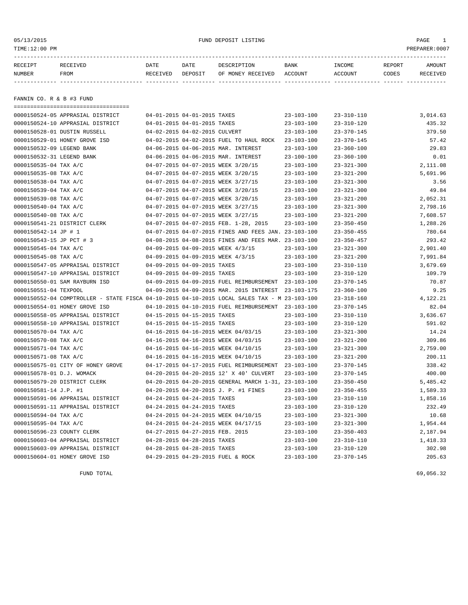05/13/2015 FUND DEPOSIT LISTING PAGE 1

| RECEIPT | RECEIVED | DATE     | DATE    | DESCRIPTION               | BANK | INCOME  | REPORT | <b>AMOUNT</b> |
|---------|----------|----------|---------|---------------------------|------|---------|--------|---------------|
| NUMBER  | FROM     | RECEIVED | DEPOSIT | OF MONEY RECEIVED ACCOUNT |      | ACCOUNT | CODES  | RECEIVED      |
|         |          |          |         |                           |      |         |        |               |
|         |          |          |         |                           |      |         |        |               |
|         |          |          |         |                           |      |         |        |               |

FANNIN CO. R & B #3 FUND

|                            | =====================================                                                        |                                 |                                                      |                  |                  |          |
|----------------------------|----------------------------------------------------------------------------------------------|---------------------------------|------------------------------------------------------|------------------|------------------|----------|
|                            | 0000150524-05 APPRASIAL DISTRICT                                                             | 04-01-2015 04-01-2015 TAXES     |                                                      | $23 - 103 - 100$ | $23 - 310 - 110$ | 3,014.63 |
|                            | 0000150524-10 APPRASIAL DISTRICT                                                             | 04-01-2015 04-01-2015 TAXES     |                                                      | $23 - 103 - 100$ | $23 - 310 - 120$ | 435.32   |
|                            | 0000150528-01 DUSTIN RUSSELL                                                                 | 04-02-2015 04-02-2015 CULVERT   |                                                      | $23 - 103 - 100$ | $23 - 370 - 145$ | 379.50   |
|                            | 0000150529-01 HONEY GROVE ISD                                                                |                                 | 04-02-2015 04-02-2015 FUEL TO HAUL ROCK              | $23 - 103 - 100$ | $23 - 370 - 145$ | 57.42    |
| 0000150532-09 LEGEND BANK  |                                                                                              |                                 | 04-06-2015 04-06-2015 MAR. INTEREST                  | $23 - 103 - 100$ | $23 - 360 - 100$ | 29.83    |
| 0000150532-31 LEGEND BANK  |                                                                                              |                                 | 04-06-2015 04-06-2015 MAR. INTEREST                  | $23 - 100 - 100$ | $23 - 360 - 100$ | 0.01     |
| 0000150535-04 TAX A/C      |                                                                                              |                                 | 04-07-2015 04-07-2015 WEEK 3/20/15                   | $23 - 103 - 100$ | $23 - 321 - 300$ | 2,111.08 |
| 0000150535-08 TAX A/C      |                                                                                              |                                 | 04-07-2015 04-07-2015 WEEK 3/20/15                   | $23 - 103 - 100$ | $23 - 321 - 200$ | 5,691.96 |
| 0000150538-04 TAX A/C      |                                                                                              |                                 | 04-07-2015 04-07-2015 WEEK 3/27/15                   | $23 - 103 - 100$ | $23 - 321 - 300$ | 3.56     |
| 0000150539-04 TAX A/C      |                                                                                              |                                 | 04-07-2015 04-07-2015 WEEK 3/20/15                   | $23 - 103 - 100$ | $23 - 321 - 300$ | 49.84    |
| 0000150539-08 TAX A/C      |                                                                                              |                                 | 04-07-2015 04-07-2015 WEEK 3/20/15                   | $23 - 103 - 100$ | $23 - 321 - 200$ | 2,052.31 |
| 0000150540-04 TAX A/C      |                                                                                              |                                 | 04-07-2015 04-07-2015 WEEK 3/27/15                   | $23 - 103 - 100$ | $23 - 321 - 300$ | 2,798.16 |
| 0000150540-08 TAX A/C      |                                                                                              |                                 | 04-07-2015 04-07-2015 WEEK 3/27/15                   | $23 - 103 - 100$ | $23 - 321 - 200$ | 7,608.57 |
|                            | 0000150541-21 DISTRICT CLERK                                                                 |                                 | 04-07-2015 04-07-2015 FEB. 1-28, 2015                | $23 - 103 - 100$ | $23 - 350 - 450$ | 1,288.26 |
| 0000150542-14 JP # 1       |                                                                                              |                                 | 04-07-2015 04-07-2015 FINES AND FEES JAN. 23-103-100 |                  | $23 - 350 - 455$ | 780.64   |
| 0000150543-15 JP PCT # 3   |                                                                                              |                                 | 04-08-2015 04-08-2015 FINES AND FEES MAR. 23-103-100 |                  | $23 - 350 - 457$ | 293.42   |
| 0000150545-04 TAX A/C      |                                                                                              |                                 | 04-09-2015 04-09-2015 WEEK 4/3/15                    | $23 - 103 - 100$ | $23 - 321 - 300$ | 2,901.40 |
| 0000150545-08 TAX A/C      |                                                                                              |                                 | 04-09-2015 04-09-2015 WEEK 4/3/15                    | $23 - 103 - 100$ | $23 - 321 - 200$ | 7,991.84 |
|                            | 0000150547-05 APPRAISAL DISTRICT                                                             | 04-09-2015 04-09-2015 TAXES     |                                                      | $23 - 103 - 100$ | $23 - 310 - 110$ | 3,679.69 |
|                            | 0000150547-10 APPRAISAL DISTRICT                                                             | 04-09-2015 04-09-2015 TAXES     |                                                      | $23 - 103 - 100$ | $23 - 310 - 120$ | 109.79   |
|                            | 0000150550-01 SAM RAYBURN ISD                                                                |                                 | 04-09-2015 04-09-2015 FUEL REIMBURSEMENT             | $23 - 103 - 100$ | $23 - 370 - 145$ | 70.87    |
| 0000150551-04 TEXPOOL      |                                                                                              |                                 | 04-09-2015 04-09-2015 MAR. 2015 INTEREST             | 23-103-175       | $23 - 360 - 100$ | 9.25     |
|                            | 0000150552-04 COMPTROLLER - STATE FISCA 04-10-2015 04-10-2015 LOCAL SALES TAX - M 23-103-100 |                                 |                                                      |                  | $23 - 318 - 160$ | 4,122.21 |
|                            | 0000150554-01 HONEY GROVE ISD                                                                |                                 | 04-10-2015 04-10-2015 FUEL REIMBURSEMENT             | $23 - 103 - 100$ | $23 - 370 - 145$ | 82.04    |
|                            | 0000150558-05 APPRAISAL DISTRICT                                                             | 04-15-2015 04-15-2015 TAXES     |                                                      | $23 - 103 - 100$ | $23 - 310 - 110$ | 3,636.67 |
|                            | 0000150558-10 APPRAISAL DISTRICT                                                             | 04-15-2015 04-15-2015 TAXES     |                                                      | $23 - 103 - 100$ | $23 - 310 - 120$ | 591.02   |
| 0000150570-04 TAX A/C      |                                                                                              |                                 | 04-16-2015 04-16-2015 WEEK 04/03/15                  | $23 - 103 - 100$ | $23 - 321 - 300$ | 14.24    |
| 0000150570-08 TAX A/C      |                                                                                              |                                 | 04-16-2015 04-16-2015 WEEK 04/03/15                  | $23 - 103 - 100$ | $23 - 321 - 200$ | 309.86   |
| 0000150571-04 TAX A/C      |                                                                                              |                                 | 04-16-2015 04-16-2015 WEEK 04/10/15                  | $23 - 103 - 100$ | $23 - 321 - 300$ | 2,759.00 |
| 0000150571-08 TAX A/C      |                                                                                              |                                 | 04-16-2015 04-16-2015 WEEK 04/10/15                  | $23 - 103 - 100$ | $23 - 321 - 200$ | 200.11   |
|                            | 0000150575-01 CITY OF HONEY GROVE                                                            |                                 | 04-17-2015 04-17-2015 FUEL REIMBURSEMENT 23-103-100  |                  | $23 - 370 - 145$ | 338.42   |
| 0000150578-01 D.J. WOMACK  |                                                                                              |                                 | 04-20-2015 04-20-2015 12' X 40' CULVERT              | $23 - 103 - 100$ | $23 - 370 - 145$ | 400.00   |
|                            | 0000150579-20 DISTRICT CLERK                                                                 |                                 | 04-20-2015 04-20-2015 GENERAL MARCH 1-31, 23-103-100 |                  | $23 - 350 - 450$ | 5,485.42 |
| 0000150581-14 J.P. #1      |                                                                                              |                                 | 04-20-2015 04-20-2015 J. P. #1 FINES                 | $23 - 103 - 100$ | $23 - 350 - 455$ | 1,589.33 |
|                            | 0000150591-06 APPRAISAL DISTRICT                                                             | 04-24-2015 04-24-2015 TAXES     |                                                      | $23 - 103 - 100$ | $23 - 310 - 110$ | 1,858.16 |
|                            | 0000150591-11 APPRAISAL DISTRICT                                                             | 04-24-2015 04-24-2015 TAXES     |                                                      | $23 - 103 - 100$ | $23 - 310 - 120$ | 232.49   |
| 0000150594-04 TAX A/C      |                                                                                              |                                 | 04-24-2015 04-24-2015 WEEK 04/10/15                  | $23 - 103 - 100$ | $23 - 321 - 300$ | 10.68    |
| 0000150595-04 TAX A/C      |                                                                                              |                                 | 04-24-2015 04-24-2015 WEEK 04/17/15                  | $23 - 103 - 100$ | $23 - 321 - 300$ | 1,954.44 |
| 0000150596-23 COUNTY CLERK |                                                                                              | 04-27-2015 04-27-2015 FEB. 2015 |                                                      | $23 - 103 - 100$ | $23 - 350 - 403$ | 2,187.94 |
|                            | 0000150603-04 APPRAISAL DISTRICT                                                             | 04-28-2015 04-28-2015 TAXES     |                                                      | $23 - 103 - 100$ | $23 - 310 - 110$ | 1,418.33 |
|                            | 0000150603-09 APPRAISAL DISTRICT                                                             | 04-28-2015 04-28-2015 TAXES     |                                                      | 23-103-100       | $23 - 310 - 120$ | 302.98   |
|                            | 0000150604-01 HONEY GROVE ISD                                                                |                                 | 04-29-2015 04-29-2015 FUEL & ROCK                    | $23 - 103 - 100$ | $23 - 370 - 145$ | 205.63   |

FUND TOTAL  $69,056.32$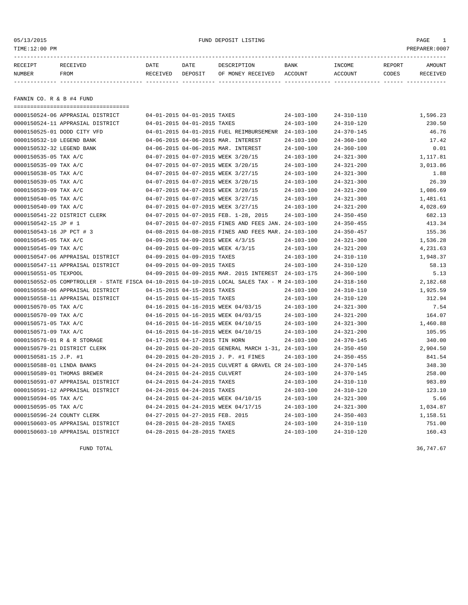# 05/13/2015 FUND DEPOSIT LISTING PAGE 1

| RECEIPT | RECEIVED | DATE     | DATE    | DESCRIPTION       | <b>BANK</b> | INCOME  | <b>REPORT</b> | AMOUNT   |
|---------|----------|----------|---------|-------------------|-------------|---------|---------------|----------|
| NUMBER  | FROM     | RECEIVED | DEPOSIT | OF MONEY RECEIVED | ACCOUNT     | ACCOUNT | CODES         | RECEIVED |
|         |          |          |         |                   |             |         |               |          |

FANNIN CO. R & B #4 FUND

| ======================================                                                       |                                 |                                                      |                  |                  |          |
|----------------------------------------------------------------------------------------------|---------------------------------|------------------------------------------------------|------------------|------------------|----------|
| 0000150524-06 APPRASIAL DISTRICT                                                             | 04-01-2015 04-01-2015 TAXES     |                                                      | $24 - 103 - 100$ | $24 - 310 - 110$ | 1,596.23 |
| 0000150524-11 APPRASIAL DISTRICT                                                             | 04-01-2015 04-01-2015 TAXES     |                                                      | $24 - 103 - 100$ | $24 - 310 - 120$ | 230.50   |
| 0000150525-01 DODD CITY VFD                                                                  |                                 | 04-01-2015 04-01-2015 FUEL REIMBURSEMENR             | $24 - 103 - 100$ | $24 - 370 - 145$ | 46.76    |
| 0000150532-10 LEGEND BANK                                                                    |                                 | 04-06-2015 04-06-2015 MAR. INTEREST                  | $24 - 103 - 100$ | $24 - 360 - 100$ | 17.42    |
| 0000150532-32 LEGEND BANK                                                                    |                                 | 04-06-2015 04-06-2015 MAR. INTEREST                  | $24 - 100 - 100$ | $24 - 360 - 100$ | 0.01     |
| 0000150535-05 TAX A/C                                                                        |                                 | 04-07-2015 04-07-2015 WEEK 3/20/15                   | $24 - 103 - 100$ | $24 - 321 - 300$ | 1,117.81 |
| 0000150535-09 TAX A/C                                                                        |                                 | 04-07-2015 04-07-2015 WEEK 3/20/15                   | $24 - 103 - 100$ | $24 - 321 - 200$ | 3,013.86 |
| 0000150538-05 TAX A/C                                                                        |                                 | 04-07-2015 04-07-2015 WEEK 3/27/15                   | $24 - 103 - 100$ | $24 - 321 - 300$ | 1.88     |
| 0000150539-05 TAX A/C                                                                        |                                 | 04-07-2015 04-07-2015 WEEK 3/20/15                   | $24 - 103 - 100$ | $24 - 321 - 300$ | 26.39    |
| 0000150539-09 TAX A/C                                                                        |                                 | 04-07-2015 04-07-2015 WEEK 3/20/15                   | $24 - 103 - 100$ | $24 - 321 - 200$ | 1,086.69 |
| 0000150540-05 TAX A/C                                                                        |                                 | 04-07-2015 04-07-2015 WEEK 3/27/15                   | $24 - 103 - 100$ | $24 - 321 - 300$ | 1,481.61 |
| 0000150540-09 TAX A/C                                                                        |                                 | 04-07-2015 04-07-2015 WEEK 3/27/15                   | $24 - 103 - 100$ | $24 - 321 - 200$ | 4,028.69 |
| 0000150541-22 DISTRICT CLERK                                                                 |                                 | 04-07-2015 04-07-2015 FEB. 1-28, 2015                | $24 - 103 - 100$ | $24 - 350 - 450$ | 682.13   |
| 0000150542-15 JP # 1                                                                         |                                 | 04-07-2015 04-07-2015 FINES AND FEES JAN. 24-103-100 |                  | $24 - 350 - 455$ | 413.34   |
| 0000150543-16 JP PCT # 3                                                                     |                                 | 04-08-2015 04-08-2015 FINES AND FEES MAR. 24-103-100 |                  | $24 - 350 - 457$ | 155.36   |
| 0000150545-05 TAX A/C                                                                        |                                 | 04-09-2015 04-09-2015 WEEK 4/3/15                    | $24 - 103 - 100$ | $24 - 321 - 300$ | 1,536.28 |
| 0000150545-09 TAX A/C                                                                        |                                 | 04-09-2015 04-09-2015 WEEK 4/3/15                    | $24 - 103 - 100$ | $24 - 321 - 200$ | 4,231.63 |
| 0000150547-06 APPRAISAL DISTRICT                                                             | 04-09-2015 04-09-2015 TAXES     |                                                      | $24 - 103 - 100$ | $24 - 310 - 110$ | 1,948.37 |
| 0000150547-11 APPRAISAL DISTRICT                                                             | 04-09-2015 04-09-2015 TAXES     |                                                      | $24 - 103 - 100$ | $24 - 310 - 120$ | 58.13    |
| 0000150551-05 TEXPOOL                                                                        |                                 | 04-09-2015 04-09-2015 MAR. 2015 INTEREST             | 24-103-175       | $24 - 360 - 100$ | 5.13     |
| 0000150552-05 COMPTROLLER - STATE FISCA 04-10-2015 04-10-2015 LOCAL SALES TAX - M 24-103-100 |                                 |                                                      |                  | $24 - 318 - 160$ | 2,182.68 |
| 0000150558-06 APPRAISAL DISTRICT                                                             | 04-15-2015 04-15-2015 TAXES     |                                                      | $24 - 103 - 100$ | $24 - 310 - 110$ | 1,925.59 |
| 0000150558-11 APPRAISAL DISTRICT                                                             | 04-15-2015 04-15-2015 TAXES     |                                                      | $24 - 103 - 100$ | $24 - 310 - 120$ | 312.94   |
| 0000150570-05 TAX A/C                                                                        |                                 | 04-16-2015 04-16-2015 WEEK 04/03/15                  | $24 - 103 - 100$ | $24 - 321 - 300$ | 7.54     |
| 0000150570-09 TAX A/C                                                                        |                                 | 04-16-2015 04-16-2015 WEEK 04/03/15                  | $24 - 103 - 100$ | $24 - 321 - 200$ | 164.07   |
| 0000150571-05 TAX A/C                                                                        |                                 | 04-16-2015 04-16-2015 WEEK 04/10/15                  | $24 - 103 - 100$ | $24 - 321 - 300$ | 1,460.88 |
| 0000150571-09 TAX A/C                                                                        |                                 | 04-16-2015 04-16-2015 WEEK 04/10/15                  | $24 - 103 - 100$ | $24 - 321 - 200$ | 105.95   |
| 0000150576-01 R & R STORAGE                                                                  | 04-17-2015 04-17-2015 TIN HORN  |                                                      | $24 - 103 - 100$ | $24 - 370 - 145$ | 340.00   |
| 0000150579-21 DISTRICT CLERK                                                                 |                                 | 04-20-2015 04-20-2015 GENERAL MARCH 1-31, 24-103-100 |                  | $24 - 350 - 450$ | 2,904.50 |
| 0000150581-15 J.P. #1                                                                        |                                 | 04-20-2015 04-20-2015 J. P. #1 FINES                 | 24-103-100       | $24 - 350 - 455$ | 841.54   |
| 0000150588-01 LINDA BANKS                                                                    |                                 | 04-24-2015 04-24-2015 CULVERT & GRAVEL CR 24-103-100 |                  | $24 - 370 - 145$ | 348.30   |
| 0000150589-01 THOMAS BREWER                                                                  | 04-24-2015 04-24-2015 CULVERT   |                                                      | $24 - 103 - 100$ | $24 - 370 - 145$ | 258.00   |
| 0000150591-07 APPRAISAL DISTRICT                                                             | 04-24-2015 04-24-2015 TAXES     |                                                      | $24 - 103 - 100$ | $24 - 310 - 110$ | 983.89   |
| 0000150591-12 APPRAISAL DISTRICT                                                             | 04-24-2015 04-24-2015 TAXES     |                                                      | $24 - 103 - 100$ | $24 - 310 - 120$ | 123.10   |
| 0000150594-05 TAX A/C                                                                        |                                 | 04-24-2015 04-24-2015 WEEK 04/10/15                  | $24 - 103 - 100$ | $24 - 321 - 300$ | 5.66     |
| 0000150595-05 TAX A/C                                                                        |                                 | 04-24-2015 04-24-2015 WEEK 04/17/15                  | $24 - 103 - 100$ | $24 - 321 - 300$ | 1,034.87 |
| 0000150596-24 COUNTY CLERK                                                                   | 04-27-2015 04-27-2015 FEB. 2015 |                                                      | $24 - 103 - 100$ | $24 - 350 - 403$ | 1,158.51 |
| 0000150603-05 APPRAISAL DISTRICT                                                             | 04-28-2015 04-28-2015 TAXES     |                                                      | $24 - 103 - 100$ | $24 - 310 - 110$ | 751.00   |
| 0000150603-10 APPRAISAL DISTRICT                                                             | 04-28-2015 04-28-2015 TAXES     |                                                      | $24 - 103 - 100$ | $24 - 310 - 120$ | 160.43   |

FUND TOTAL  $36,747.67$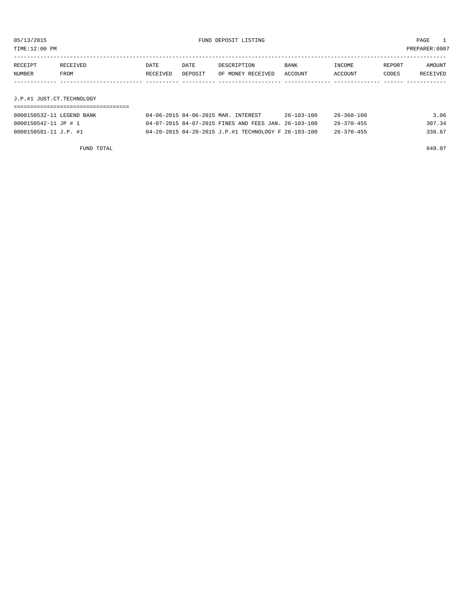05/13/2015 FUND DEPOSIT LISTING PAGE 1 TIME:12:00 PM PREPARER:0007

----------------------------------------------------------------------------------------------------------------------------------- RECEIPT RECEIVED DATE DATE DESCRIPTION BANK INCOME REPORT AMOUNT NUMBER FROM RECEIVED DEPOSIT OF MONEY RECEIVED ACCOUNT ACCOUNT CODES RECEIVED ------------- ------------------------- ---------- ---------- ------------------- -------------- -------------- ------ ------------

J.P.#1 JUST.CT.TECHNOLOGY

| 0000150532-11 LEGEND BANK<br>04-06-2015 04-06-2015 MAR. INTEREST | 3.06<br>$26 - 103 - 100$<br>$26 - 360 - 100$ |
|------------------------------------------------------------------|----------------------------------------------|
| 04-07-2015 04-07-2015 FINES AND FEES JAN. 26-103-100             | 307.34                                       |
| 0000150542-11 JP # 1                                             | $26 - 370 - 455$                             |
| 04-20-2015 04-20-2015 J.P.#1 TECHNOLOGY F 26-103-100             | 338.67                                       |
| 0000150581-11 J.P. #1                                            | 26-370-455                                   |

FUND TOTAL 649.07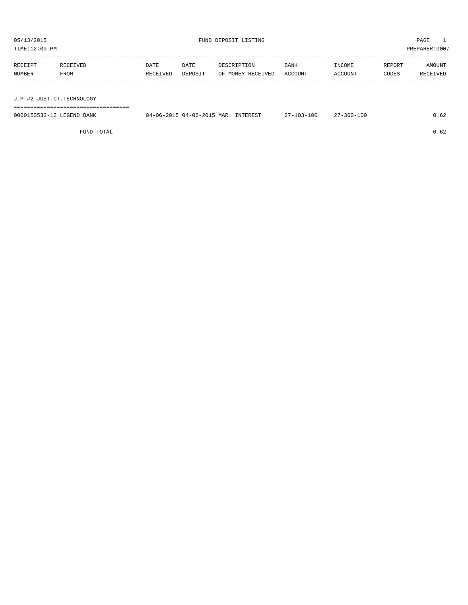TIME:12:00 PM PREPARER:0007 ----------------------------------------------------------------------------------------------------------------------------------- RECEIPT RECEIVED DATE DATE DESCRIPTION BANK INCOME REPORT AMOUNT NUMBER FROM RECEIVED DEPOSIT OF MONEY RECEIVED ACCOUNT ACCOUNT CODES RECEIVED ------------- ------------------------- ---------- ---------- ------------------- -------------- -------------- ------ ------------

J.P.#2 JUST.CT.TECHNOLOGY

===================================

| 0000150532-12 LEGEND BANK | 04-06-2015 04-06-2015 MAR. INTEREST | $27 - 103 - 100$ | 27-360-100 | 0.62 |
|---------------------------|-------------------------------------|------------------|------------|------|
|                           |                                     |                  |            |      |

FUND TOTAL  $0.62$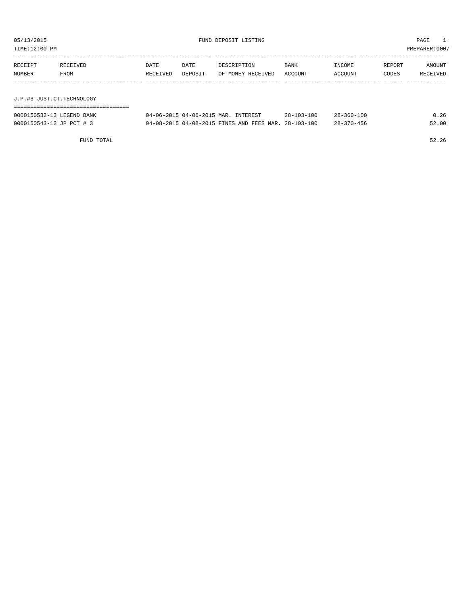| TIME:12:00 PM             |          |          |         |                   |         |         | PREPARER:0007 |                      |
|---------------------------|----------|----------|---------|-------------------|---------|---------|---------------|----------------------|
|                           |          |          |         |                   |         |         |               |                      |
| RECEIPT                   | RECEIVED | DATE     | DATE    | DESCRIPTION       | BANK    | INCOME  | REPORT        | AMOUNT               |
| NUMBER                    | FROM     | RECEIVED | DEPOSIT | OF MONEY RECEIVED | ACCOUNT | ACCOUNT | CODES         | RECEIVED             |
|                           |          |          |         |                   |         |         |               |                      |
|                           |          |          |         |                   |         |         |               |                      |
| J.P.#3 JUST.CT.TECHNOLOGY |          |          |         |                   |         |         |               |                      |
|                           |          |          |         |                   |         |         |               |                      |
|                           |          |          |         |                   | .       | .       |               | $\sim$ $\sim$ $\sim$ |

| 0000150532-13 LEGEND BANK | 04-06-2015 04-06-2015 MAR. INTEREST                  | $28 - 103 - 100$ | $28 - 360 - 100$ | 0.26  |
|---------------------------|------------------------------------------------------|------------------|------------------|-------|
| 0000150543-12 JP PCT # 3  | 04-08-2015 04-08-2015 FINES AND FEES MAR. 28-103-100 |                  | $28 - 370 - 456$ | 52.00 |

FUND TOTAL 52.26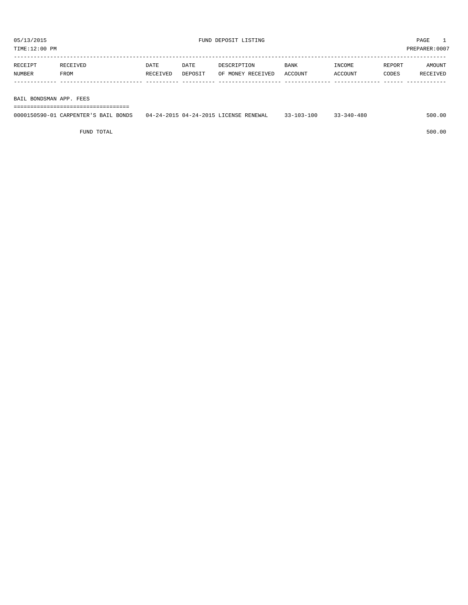| TIME:12:00 PM |          |          |         |                   |         |         |        | PREPARER:0007 |
|---------------|----------|----------|---------|-------------------|---------|---------|--------|---------------|
| RECEIPT       | RECEIVED | DATE     | DATE    | DESCRIPTION       | BANK    | INCOME  | REPORT | AMOUNT        |
| NUMBER        | FROM     | RECEIVED | DEPOSIT | OF MONEY RECEIVED | ACCOUNT | ACCOUNT | CODES  | RECEIVED      |
|               |          |          |         |                   |         |         |        |               |
|               |          |          |         |                   |         |         |        |               |

BAIL BONDSMAN APP. FEES

===================================

| 0000150590-01 0<br>CARPENTER'S BAIL<br><b>BONDS</b> | 7 04-24-2015 LICENSE RENEWAL<br>$04 - 24 - 2015$ | $03 - 100$<br>33.303<br>.<br>. | 33-340-480 | 500.00 |
|-----------------------------------------------------|--------------------------------------------------|--------------------------------|------------|--------|
|                                                     |                                                  |                                |            |        |

FUND TOTAL 500.00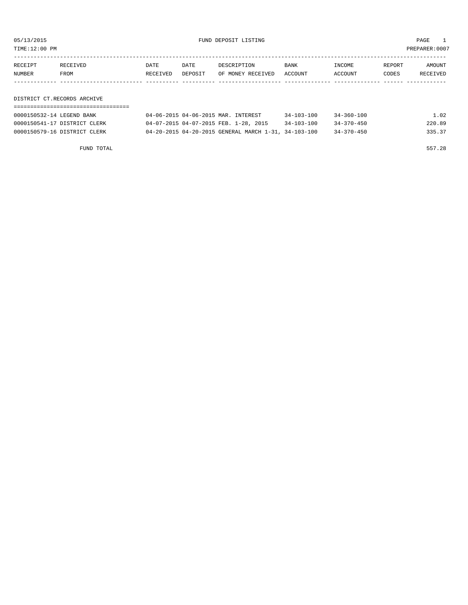05/13/2015 FUND DEPOSIT LISTING PAGE 1

| RECEIPT | <b>RECEIVED</b> | DATE            | DATE    | DESCRIPTION       | BANK    | <b>TNCOME</b> | REPORT | AMOUNT          |
|---------|-----------------|-----------------|---------|-------------------|---------|---------------|--------|-----------------|
| NUMBER  | FROM            | <b>RECEIVED</b> | DEPOSIT | OF MONEY RECEIVED | ACCOUNT | ACCOUNT       | CODES  | <b>RECEIVED</b> |
|         |                 |                 |         |                   |         |               |        |                 |

DISTRICT CT.RECORDS ARCHIVE

| 0000150532-14 LEGEND BANK    | 04-06-2015 04-06-2015 MAR. INTEREST                  | $34 - 103 - 100$ | $34 - 360 - 100$ | 1.02   |
|------------------------------|------------------------------------------------------|------------------|------------------|--------|
| 0000150541-17 DISTRICT CLERK | 04-07-2015 04-07-2015 FEB. 1-28, 2015                | $34 - 103 - 100$ | $34 - 370 - 450$ | 220.89 |
| 0000150579-16 DISTRICT CLERK | 04-20-2015 04-20-2015 GENERAL MARCH 1-31, 34-103-100 |                  | $34 - 370 - 450$ | 335.37 |

FUND TOTAL 557.28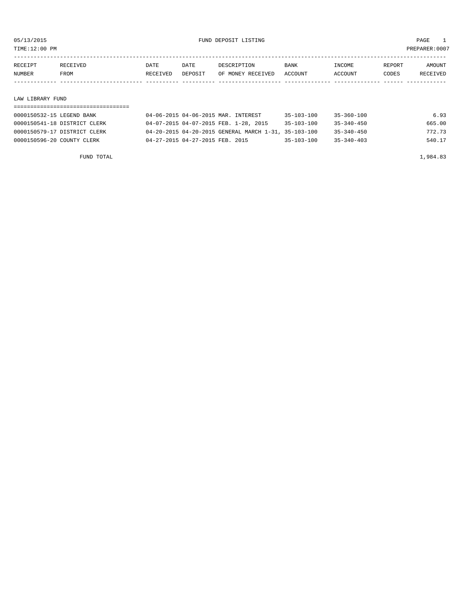TIME:12:00 PM PREPARER:0007

| RECEIPT | RECEIVED | DATE     | DATE    | DESCRIPTION       | BANK      | INCOME  | REPORT | AMOUNT          |
|---------|----------|----------|---------|-------------------|-----------|---------|--------|-----------------|
| NUMBER  | FROM     | RECEIVED | DEPOSIT | OF MONEY RECEIVED | . ACCOUNT | ACCOUNT | CODES  | <b>RECEIVED</b> |
|         |          |          |         |                   |           |         |        |                 |

### LAW LIBRARY FUND

| 0000150532-15 LEGEND BANK    | 04-06-2015 04-06-2015 MAR. INTEREST                  | $35 - 103 - 100$ | $35 - 360 - 100$ | 6.93   |
|------------------------------|------------------------------------------------------|------------------|------------------|--------|
| 0000150541-18 DISTRICT CLERK | 04-07-2015 04-07-2015 FEB. 1-28, 2015                | $35 - 103 - 100$ | 35-340-450       | 665.00 |
| 0000150579-17 DISTRICT CLERK | 04-20-2015 04-20-2015 GENERAL MARCH 1-31, 35-103-100 |                  | $35 - 340 - 450$ | 772.73 |
| 0000150596-20 COUNTY CLERK   | 04-27-2015 04-27-2015 FEB. 2015                      | $35 - 103 - 100$ | $35 - 340 - 403$ | 540.17 |

FUND TOTAL 1,984.83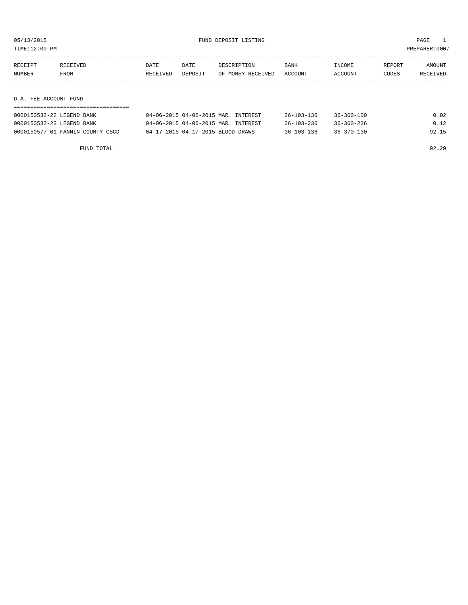TIME:12:00 PM PREPARER:0007

| RECEIPT               | RECEIVED | DATE     | DATE    | DESCRIPTION       | BANK    | INCOME  | REPORT | AMOUNT   |
|-----------------------|----------|----------|---------|-------------------|---------|---------|--------|----------|
| NUMBER                | FROM     | RECEIVED | DEPOSIT | OF MONEY RECEIVED | ACCOUNT | ACCOUNT | CODES  | RECEIVED |
|                       |          |          |         |                   |         |         |        |          |
|                       |          |          |         |                   |         |         |        |          |
| D.A. FEE ACCOUNT FUND |          |          |         |                   |         |         |        |          |

| 0000150532-22 LEGEND BANK        | 04-06-2015 04-06-2015 MAR. INTEREST | $36 - 103 - 136$ | $36 - 360 - 100$ | 0.02  |
|----------------------------------|-------------------------------------|------------------|------------------|-------|
| 0000150532-23 LEGEND BANK        | 04-06-2015 04-06-2015 MAR. INTEREST | $36 - 103 - 236$ | 36-360-236       | 0.12  |
| 0000150577-01 FANNIN COUNTY CSCD | 04-17-2015 04-17-2015 BLOOD DRAWS   | $36 - 103 - 136$ | $36 - 370 - 130$ | 92.15 |

FUND TOTAL 92.29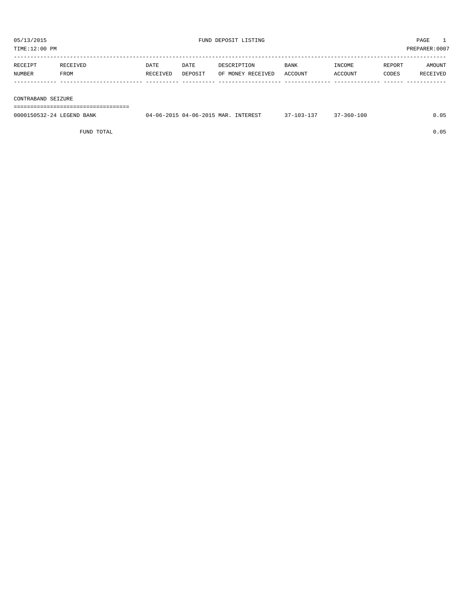TIME:12:00 PM PREPARER:0007

| RECEIPT | RECEIVED    | DATE     | DATE    | DESCRIPTION       | <b>BANK</b> | INCOME  | REPORT | AMOUNT   |
|---------|-------------|----------|---------|-------------------|-------------|---------|--------|----------|
| NUMBER  | <b>FROM</b> | RECEIVED | DEPOSIT | OF MONEY RECEIVED | ACCOUNT     | ACCOUNT | CODES  | RECEIVED |
|         |             |          |         |                   |             |         |        |          |

### CONTRABAND SEIZURE

===================================

| 0000150532-24<br>7END.<br><b>BANK</b> | MAR<br>$(16 - 20)$<br>п.<br>$(6 - 20)$<br>- 114 | NTEREST<br>ו רו | 100<br>$560 -$ |  |
|---------------------------------------|-------------------------------------------------|-----------------|----------------|--|
|                                       |                                                 |                 |                |  |

FUND TOTAL 0.05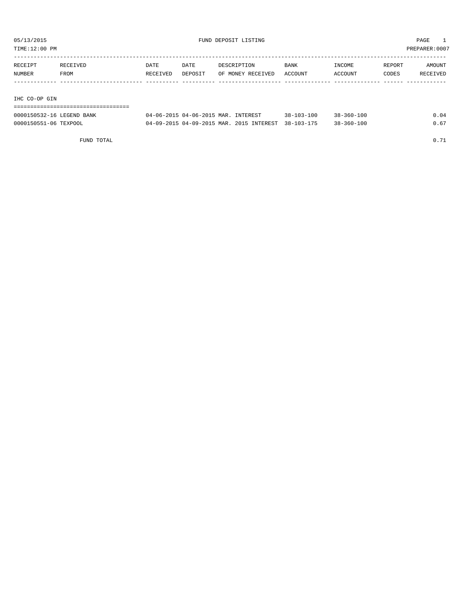TIME:12:00 PM PREPARER:0007

| RECEIPT       | RECEIVED | DATE     | DATE    | DESCRIPTION       | <b>BANK</b> | INCOME  | REPORT | AMOUNT   |
|---------------|----------|----------|---------|-------------------|-------------|---------|--------|----------|
| NUMBER        | FROM     | RECEIVED | DEPOSIT | OF MONEY RECEIVED | ACCOUNT     | ACCOUNT | CODES  | RECEIVED |
|               |          |          |         |                   |             |         |        |          |
|               |          |          |         |                   |             |         |        |          |
| IHC CO-OP GIN |          |          |         |                   |             |         |        |          |

| 0000150532-16 LEGEND BANK | 04-06-2015 04-06-2015 MAR. INTEREST                 | 38-103-100 | $38 - 360 - 100$ | 0.04 |
|---------------------------|-----------------------------------------------------|------------|------------------|------|
| 0000150551-06 TEXPOOL     | 04-09-2015 04-09-2015 MAR. 2015 INTEREST 38-103-175 |            | $38 - 360 - 100$ |      |

FUND TOTAL 0.71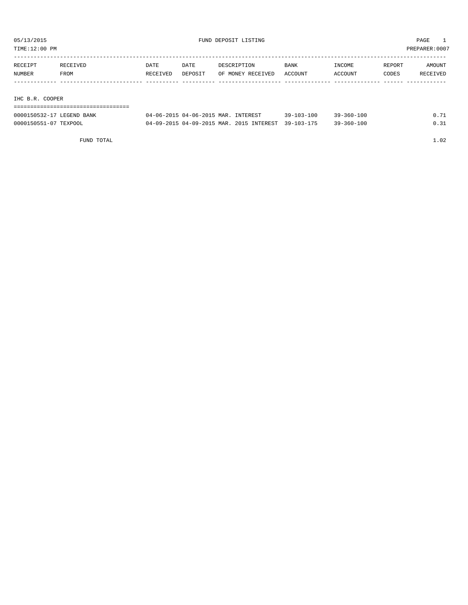TIME:12:00 PM PREPARER:0007

| RECEIPT         | RECEIVED | DATE     | DATE    | DESCRIPTION       | <b>BANK</b> | INCOME  | REPORT | AMOUNT   |
|-----------------|----------|----------|---------|-------------------|-------------|---------|--------|----------|
| NUMBER          | FROM     | RECEIVED | DEPOSIT | OF MONEY RECEIVED | ACCOUNT     | ACCOUNT | CODES  | RECEIVED |
|                 |          |          |         |                   |             |         |        |          |
|                 |          |          |         |                   |             |         |        |          |
| IHC B.R. COOPER |          |          |         |                   |             |         |        |          |

| 0000150532-17 LEGEND BANK | 04-06-2015 04-06-2015 MAR. INTEREST                 | $39 - 103 - 100$ | $39 - 360 - 100$ | 0.71 |
|---------------------------|-----------------------------------------------------|------------------|------------------|------|
| 0000150551-07 TEXPOOL     | 04-09-2015 04-09-2015 MAR. 2015 INTEREST 39-103-175 |                  | $39 - 360 - 100$ | 0.31 |

FUND TOTAL 1.02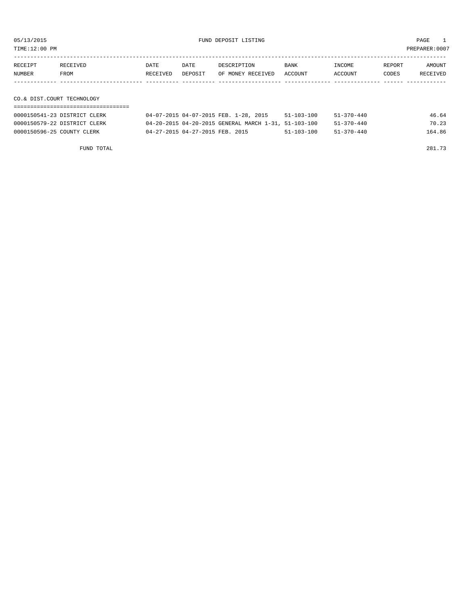TIME:12:00 PM PREPARER:0007

| RECEIPT | RECEIVED                   | DATE     | DATE    | DESCRIPTION       | BANK    | INCOME  | REPORT | AMOUNT   |  |
|---------|----------------------------|----------|---------|-------------------|---------|---------|--------|----------|--|
| NUMBER  | FROM                       | RECEIVED | DEPOSIT | OF MONEY RECEIVED | ACCOUNT | ACCOUNT | CODES  | RECEIVED |  |
|         |                            |          |         |                   |         |         |        |          |  |
|         |                            |          |         |                   |         |         |        |          |  |
|         | CO.& DIST.COURT TECHNOLOGY |          |         |                   |         |         |        |          |  |
|         |                            |          |         |                   |         |         |        |          |  |

| 0000150541-23 DISTRICT CLERK | 04-07-2015 04-07-2015 FEB. 1-28, 2015                | $51 - 103 - 100$ | $51 - 370 - 440$ | 46.64  |
|------------------------------|------------------------------------------------------|------------------|------------------|--------|
| 0000150579-22 DISTRICT CLERK | 04-20-2015 04-20-2015 GENERAL MARCH 1-31, 51-103-100 |                  | 51-370-440       | 70.23  |
| 0000150596-25 COUNTY CLERK   | 04-27-2015 04-27-2015 FEB. 2015                      | 51-103-100       | 51-370-440       | 164.86 |
|                              |                                                      |                  |                  |        |

FUND TOTAL 281.73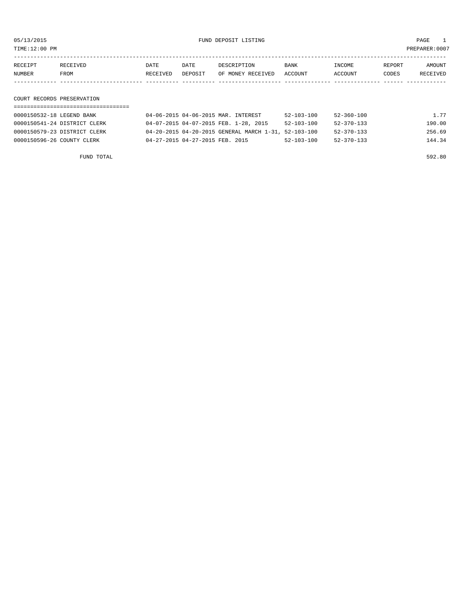TIME:12:00 PM PREPARER:0007

| RECEIPT | RECEIVED | DATE     | DATE    | DESCRIPTION       | <b>BANK</b> | INCOME  | REPORT | AMOUNT   |
|---------|----------|----------|---------|-------------------|-------------|---------|--------|----------|
| NUMBER  | FROM     | RECEIVED | DEPOSIT | OF MONEY RECEIVED | ACCOUNT     | ACCOUNT | CODES  | RECEIVED |
|         |          |          |         |                   |             |         |        |          |

# COURT RECORDS PRESERVATION

| 0000150532-18 LEGEND BANK    | 04-06-2015 04-06-2015 MAR. INTEREST                  | $52 - 103 - 100$ | 52-360-100       | 1.77   |
|------------------------------|------------------------------------------------------|------------------|------------------|--------|
| 0000150541-24 DISTRICT CLERK | 04-07-2015 04-07-2015 FEB. 1-28, 2015                | $52 - 103 - 100$ | $52 - 370 - 133$ | 190.00 |
| 0000150579-23 DISTRICT CLERK | 04-20-2015 04-20-2015 GENERAL MARCH 1-31, 52-103-100 |                  | $52 - 370 - 133$ | 256.69 |
| 0000150596-26 COUNTY CLERK   | 04-27-2015 04-27-2015 FEB. 2015                      | $52 - 103 - 100$ | $52 - 370 - 133$ | 144.34 |

FUND TOTAL 592.80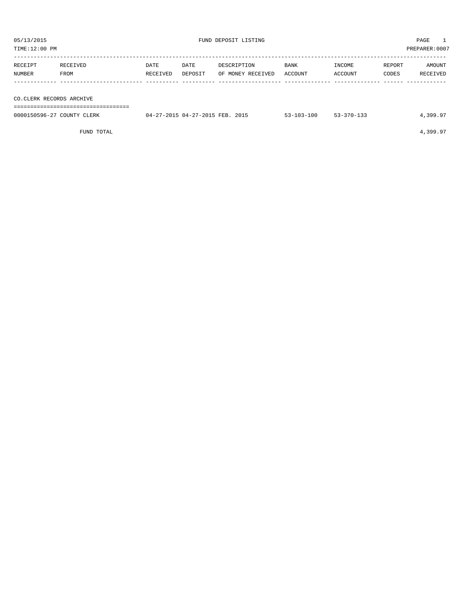| 05/13/2015<br>TIME:12:00 PM                                                               |                  |                  |                 | FUND DEPOSIT LISTING             | PAGE<br>PREPARER: 0007 |                   |                 |                    |
|-------------------------------------------------------------------------------------------|------------------|------------------|-----------------|----------------------------------|------------------------|-------------------|-----------------|--------------------|
| RECEIPT<br>NUMBER                                                                         | RECEIVED<br>FROM | DATE<br>RECEIVED | DATE<br>DEPOSIT | DESCRIPTION<br>OF MONEY RECEIVED | BANK<br>ACCOUNT        | INCOME<br>ACCOUNT | REPORT<br>CODES | AMOUNT<br>RECEIVED |
| CO.CLERK RECORDS ARCHIVE<br>04-27-2015 04-27-2015 FEB. 2015<br>0000150596-27 COUNTY CLERK |                  |                  |                 |                                  |                        |                   |                 |                    |
|                                                                                           |                  |                  |                 |                                  | $53 - 103 - 100$       | $53 - 370 - 133$  |                 | 4,399.97           |

FUND TOTAL 4,399.97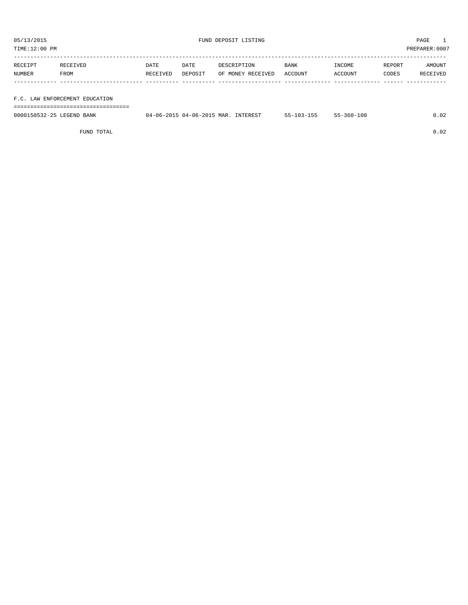| TIME:12:00 PM |                                |          |         |                   |         |         | PREPARER: 0007 |          |
|---------------|--------------------------------|----------|---------|-------------------|---------|---------|----------------|----------|
| RECEIPT       | RECEIVED                       | DATE     | DATE    | DESCRIPTION       | BANK    | INCOME  | REPORT         | AMOUNT   |
| NUMBER        | FROM                           | RECEIVED | DEPOSIT | OF MONEY RECEIVED | ACCOUNT | ACCOUNT | CODES          | RECEIVED |
|               |                                |          |         |                   |         |         |                |          |
|               | F.C. LAW ENFORCEMENT EDUCATION |          |         |                   |         |         |                |          |

===================================

| 0000150532-25 LEGEND BANK | 04-06-2015 04-06-2015 MAR. INTEREST | $55 - 103 - 155$ | $55 - 360 - 100$ | 0.02 |
|---------------------------|-------------------------------------|------------------|------------------|------|
|                           |                                     |                  |                  |      |

FUND TOTAL 0.02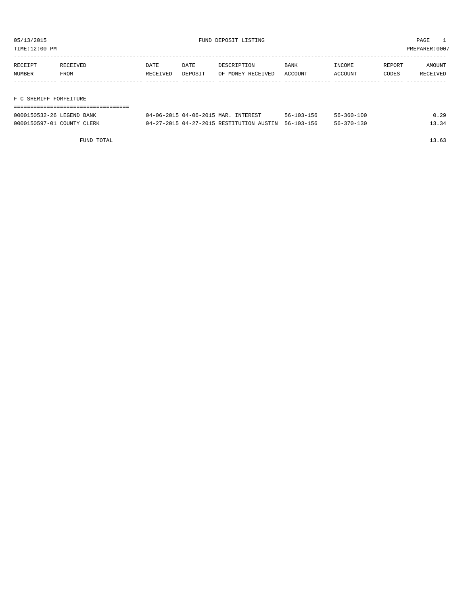TIME:12:00 PM PREPARER:0007

| RECEIPT | RECEIVED | <b>DATE</b> | DATE    | DESCRIPTION       | <b>BANK</b> | INCOME  | REPORT | AMOUNT   |
|---------|----------|-------------|---------|-------------------|-------------|---------|--------|----------|
| NUMBER  | FROM     | RECEIVED    | DEPOSIT | OF MONEY RECEIVED | ACCOUNT     | ACCOUNT | CODES  | RECEIVED |
|         |          |             |         |                   |             |         |        |          |
|         |          |             |         |                   |             |         |        |          |

# F C SHERIFF FORFEITURE

| 0000150532-26 LEGEND BANK  | 04-06-2015 04-06-2015 MAR. INTEREST                 | 56-103-156 | 56-360-100       | 0.29  |
|----------------------------|-----------------------------------------------------|------------|------------------|-------|
| 0000150597-01 COUNTY CLERK | 04-27-2015 04-27-2015 RESTITUTION AUSTIN 56-103-156 |            | $56 - 370 - 130$ | 13.34 |

FUND TOTAL 13.63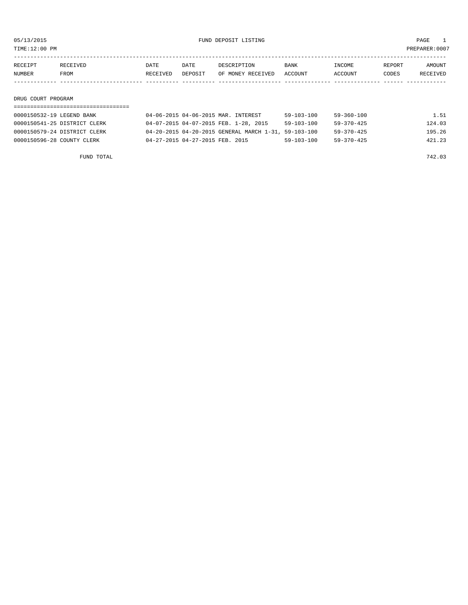TIME:12:00 PM PREPARER:0007

| RECEIPT | RECEIVED | DATE     | DATE    | DESCRIPTION       | <b>BANK</b> | INCOME  | REPORT | AMOUNT          |
|---------|----------|----------|---------|-------------------|-------------|---------|--------|-----------------|
| NUMBER  | FROM     | RECEIVED | DEPOSIT | OF MONEY RECEIVED | ACCOUNT     | ACCOUNT | CODES  | <b>RECEIVED</b> |
|         |          |          |         |                   |             |         |        |                 |

### DRUG COURT PROGRAM

| 0000150532-19 LEGEND BANK    | 04-06-2015 04-06-2015 MAR. INTEREST                  | $59 - 103 - 100$ | 59-360-100       | 1.51   |
|------------------------------|------------------------------------------------------|------------------|------------------|--------|
| 0000150541-25 DISTRICT CLERK | 04-07-2015 04-07-2015 FEB. 1-28, 2015                | $59 - 103 - 100$ | $59 - 370 - 425$ | 124.03 |
| 0000150579-24 DISTRICT CLERK | 04-20-2015 04-20-2015 GENERAL MARCH 1-31, 59-103-100 |                  | $59 - 370 - 425$ | 195.26 |
| 0000150596-28 COUNTY CLERK   | 04-27-2015 04-27-2015 FEB. 2015                      | 59-103-100       | 59-370-425       | 421.23 |

FUND TOTAL  $742.03$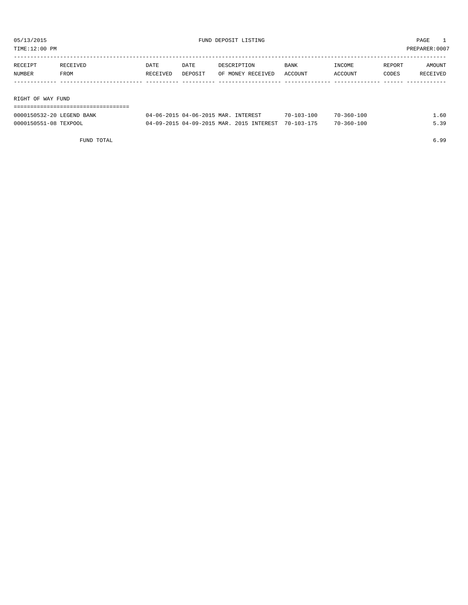| TIME:12:00 PM     |         |          |          |         | PREPARER:0007     |             |         |        |          |
|-------------------|---------|----------|----------|---------|-------------------|-------------|---------|--------|----------|
|                   |         |          |          |         |                   |             |         |        |          |
|                   | RECEIPT | RECEIVED | DATE     | DATE    | DESCRIPTION       | <b>BANK</b> | INCOME  | REPORT | AMOUNT   |
|                   | NUMBER  | FROM     | RECEIVED | DEPOSIT | OF MONEY RECEIVED | ACCOUNT     | ACCOUNT | CODES  | RECEIVED |
|                   |         |          |          |         |                   |             |         |        |          |
|                   |         |          |          |         |                   |             |         |        |          |
| RIGHT OF WAY FUND |         |          |          |         |                   |             |         |        |          |
|                   |         |          |          |         |                   |             |         |        |          |

| 0000150532-20 LEGEND BANK | 04-06-2015 04-06-2015 MAR. INTEREST                 | $70 - 103 - 100$ | $70 - 360 - 100$ | L.60 |
|---------------------------|-----------------------------------------------------|------------------|------------------|------|
| 0000150551-08 TEXPOOL     | 04-09-2015 04-09-2015 MAR. 2015 INTEREST 70-103-175 |                  | $70 - 360 - 100$ | 5.39 |

FUND TOTAL 6.99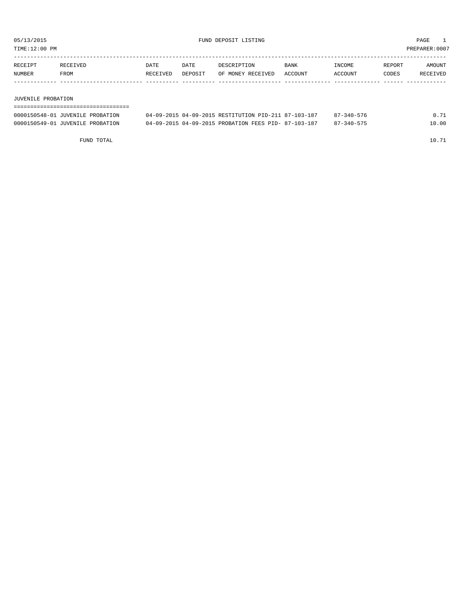TIME:12:00 PM PREPARER:0007

| <b>RECEIPT</b> | RECEIVED | DATE            | DATE    | DESCRIPTION       | <b>BANK</b>    | NCOME <sup>-</sup> | REPORT | AMOUNT          |
|----------------|----------|-----------------|---------|-------------------|----------------|--------------------|--------|-----------------|
| NUMBER         | FROM     | <b>RECEIVED</b> | DEPOSIT | OF MONEY RECEIVED | <b>ACCOUNT</b> | ACCOUNT            | CODES  | <b>RECEIVED</b> |
|                |          |                 |         |                   |                |                    |        |                 |

### JUVENILE PROBATION

| ,,,,,,,,,,,,,,,,,,,,,,,,,,,,     |                                                      |                  |       |
|----------------------------------|------------------------------------------------------|------------------|-------|
| 0000150548-01 JUVENILE PROBATION | 04-09-2015 04-09-2015 RESTITUTION PID-211 87-103-187 | 87-340-576       | 0.71  |
| 0000150549-01 JUVENILE PROBATION | 04-09-2015 04-09-2015 PROBATION FEES PID- 87-103-187 | $87 - 340 - 575$ | 10.00 |

FUND TOTAL 10.71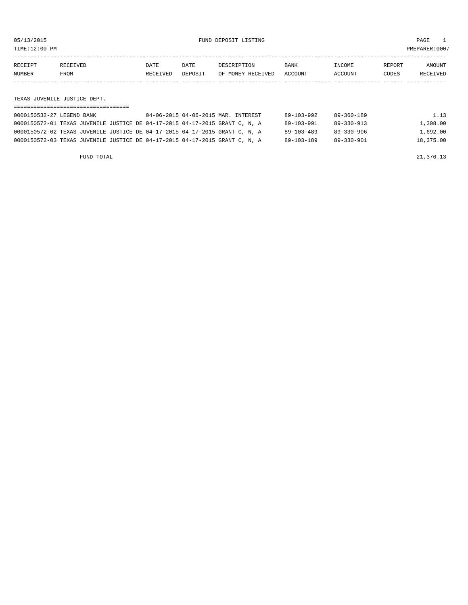TIME:12:00 PM PREPARER:0007

| NUMBER  | <b>FROM</b>     | RECEIVED | DEPOSIT | OF MONEY RECEIVED | ACCOUNT     | ACCOUNT       | CODES  | <b>RECEIVED</b> |
|---------|-----------------|----------|---------|-------------------|-------------|---------------|--------|-----------------|
| RECEIPT | <b>RECEIVED</b> | DATE     | DATE    | DESCRIPTION       | <b>BANK</b> | <b>INCOME</b> | REPORT | <b>AMOUNT</b>   |
|         |                 |          |         |                   |             |               |        |                 |

TEXAS JUVENILE JUSTICE DEPT.

| 0000150532-27 LEGEND BANK                                                   | 04-06-2015 04-06-2015 MAR. INTEREST | 89-103-992       | 89-360-189 | 1.13      |
|-----------------------------------------------------------------------------|-------------------------------------|------------------|------------|-----------|
| 0000150572-01 TEXAS JUVENILE JUSTICE DE 04-17-2015 04-17-2015 GRANT C, N, A |                                     | 89-103-991       | 89-330-913 | 1,308.00  |
| 0000150572-02 TEXAS JUVENILE JUSTICE DE 04-17-2015 04-17-2015 GRANT C, N, A |                                     | $89 - 103 - 489$ | 89-330-906 | 1,692.00  |
| 0000150572-03 TEXAS JUVENILE JUSTICE DE 04-17-2015 04-17-2015 GRANT C, N, A |                                     | 89-103-189       | 89-330-901 | 18,375.00 |
|                                                                             |                                     |                  |            |           |

FUND TOTAL  $21,376.13$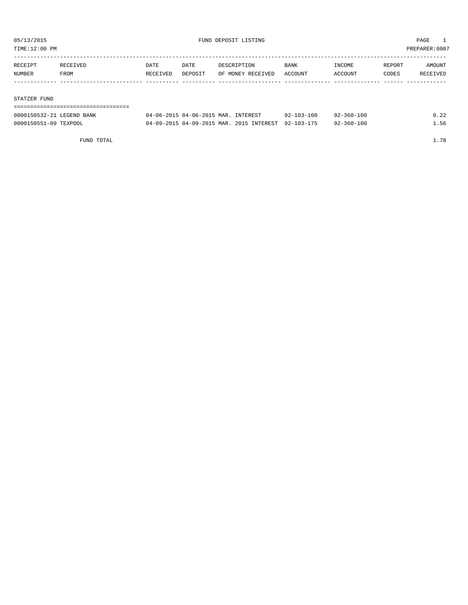TIME:12:00 PM PREPARER:0007

| RECEIPT | RECEIVED | DATE     | DATE    | DESCRIPTION       | <b>BANK</b> | INCOME  | REPORT | AMOUNT   |
|---------|----------|----------|---------|-------------------|-------------|---------|--------|----------|
| NUMBER  | FROM     | RECEIVED | DEPOSIT | OF MONEY RECEIVED | ACCOUNT     | ACCOUNT | CODES  | RECEIVED |
|         |          |          |         |                   |             |         |        |          |
|         |          |          |         |                   |             |         |        |          |

### STATZER FUND

### =================================== 0.00015065301504-06-2015 MAR. INTEREST 92-103-100 92-360-100 0.22

| 00001<br>.FCFNP                 | .-06-2015 MAR                       | TNTTD DROT              | 7 A<br>$\sim$<br>$\sim$ $\sim$ $\sim$ $\sim$ $\sim$ $\sim$ $\sim$ | -100         |  |
|---------------------------------|-------------------------------------|-------------------------|-------------------------------------------------------------------|--------------|--|
| 0000150551-09<br><b>TEXPOOL</b> | 22015 04-09-2015 MAR. 20.<br>$\cap$ | 2015<br><b>TNTEREST</b> | 1.7.7<br>$92-$<br>$103 -$                                         | $-360 - 100$ |  |

FUND TOTAL  $1.78$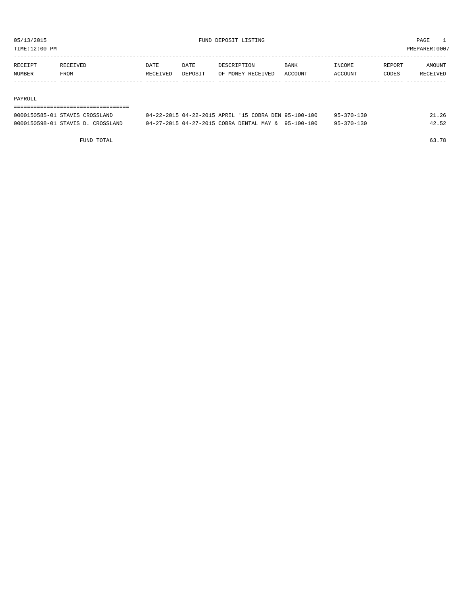TIME:12:00 PM PREPARER:0007

| RECEIPT | RECEIVED | DATE            | DATE    | DESCRIPTION       | <b>BANK</b>    | <b>INCOME</b> | REPORT | <b>AMOUNT</b> |
|---------|----------|-----------------|---------|-------------------|----------------|---------------|--------|---------------|
| NUMBER  | FROM     | <b>RECEIVED</b> | DEPOSIT | OF MONEY RECEIVED | <b>ACCOUNT</b> | ACCOUNT       | CODES  | RECEIVED      |
|         |          |                 |         |                   |                |               |        |               |

### PAYROLL

## ===================================

| 0000150585-01 STAVIS CROSSLAND    | 04-22-2015 04-22-2015 APRIL '15 COBRA DEN 95-100-100 | 95-370-130 | 21.26 |
|-----------------------------------|------------------------------------------------------|------------|-------|
| 0000150598-01 STAVIS D. CROSSLAND | 04-27-2015 04-27-2015 COBRA DENTAL MAY & 95-100-100  | 95-370-130 | 42.52 |

FUND TOTAL 63.78